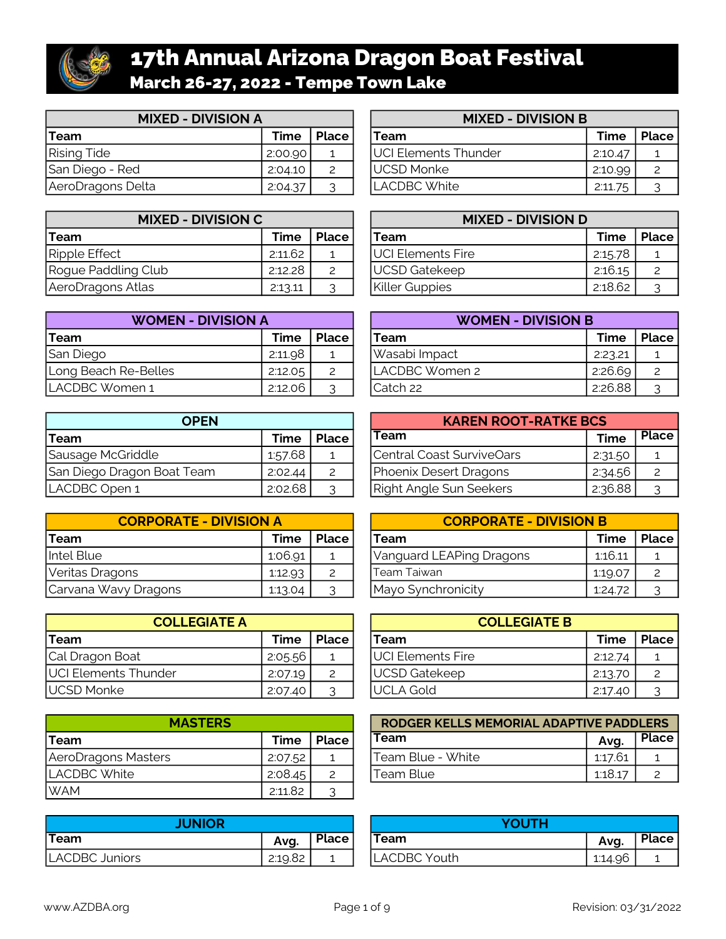

# 17th Annual Arizona Dragon Boat Festival March 26-27, 2022 - Tempe Town Lake

| <b>MIXED - DIVISION A</b> |             |                           | <b>MIXED - DIVISION B</b>    |         |              |  |
|---------------------------|-------------|---------------------------|------------------------------|---------|--------------|--|
| Team                      | <b>Time</b> | Place                     | Team                         | Time    | <b>Place</b> |  |
| <b>Rising Tide</b>        | 2:00.90     |                           | <b>JUCI Elements Thunder</b> | 2:10.47 |              |  |
| San Diego - Red           | 2:04.10     | $\mathsf{2}^{\mathsf{2}}$ | <b>IUCSD Monke</b>           | 2:10.99 |              |  |
| AeroDragons Delta         | 2:04.37     | ⌒                         | LACDBC White                 | 2:11.75 |              |  |

| <b>MIXED - DIVISION C</b> |         |               | <b>MIXED - DIVISION D</b> |         |              |  |
|---------------------------|---------|---------------|---------------------------|---------|--------------|--|
| <b>'Team</b>              | Time    | <b>Place</b>  | Team                      | Time    | <b>Place</b> |  |
| Ripple Effect             | 2:11.62 |               | <b>JUCI Elements Fire</b> | 2:15.78 |              |  |
| Rogue Paddling Club       | 2:12.28 | $\mathcal{P}$ | UCSD Gatekeep             | 2:16.15 |              |  |
| AeroDragons Atlas         | 2:13.11 | ⌒             | Killer Guppies            | 2:18.62 |              |  |

| <b>WOMEN - DIVISION A</b> |         |              |  | <b>WOMEN - DIVISION B</b> |         |       |  |  |
|---------------------------|---------|--------------|--|---------------------------|---------|-------|--|--|
| <b>Team</b>               | Time    | <b>Place</b> |  | Team                      | Time    | Place |  |  |
| San Diego                 | 2:11.98 |              |  | Wasabi Impact             | 2:23.21 |       |  |  |
| Long Beach Re-Belles      | 2:12.05 | 2            |  | LACDBC Women 2            | 2:26.69 |       |  |  |
| ILACDBC Women 1           | 2:12.06 | $\mathbf{P}$ |  | ICatch 22                 | 2:26.88 |       |  |  |

| <b>OPEN</b>                |         |                | <b>KAREN ROOT-RATKE BCS</b> |             |              |  |
|----------------------------|---------|----------------|-----------------------------|-------------|--------------|--|
| Team                       | Time    | Place          | Team                        | <b>Time</b> | <b>Place</b> |  |
| Sausage McGriddle          | 1:57.68 | $\mathbf{1}$   | Central Coast SurviveOars   | 2:31.50     |              |  |
| San Diego Dragon Boat Team | 2:02.44 | $\overline{2}$ | Phoenix Desert Dragons      | 2:34.56     |              |  |
| LACDBC Open 1              | 2:02.68 | っ              | Right Angle Sun Seekers     | 2:36.88     |              |  |

| <b>CORPORATE - DIVISION A</b> |         |       | <b>CORPORATE - DIVISION B</b> |         |              |  |
|-------------------------------|---------|-------|-------------------------------|---------|--------------|--|
| <b>Team</b>                   | Time    | Place | Team                          | Time    | <b>Place</b> |  |
| Intel Blue                    | 1:06.91 |       | Vanguard LEAPing Dragons      | 1:16.11 |              |  |
| Veritas Dragons               | 1:12.93 | 2     | Team Taiwan                   | 1:19.07 |              |  |
| Carvana Wavy Dragons          | 1:13.04 | ⌒     | Mayo Synchronicity            | 1:24.72 |              |  |

| <b>COLLEGIATE A</b>  |         |                           | <b>COLLEGIATE B</b>      |         |              |  |
|----------------------|---------|---------------------------|--------------------------|---------|--------------|--|
| <b>Team</b>          | Time    | Place                     | Team                     | Time    | <b>Place</b> |  |
| Cal Dragon Boat      | 2:05.56 |                           | <b>UCI Elements Fire</b> | 2:12.74 |              |  |
| UCI Elements Thunder | 2:07.19 | $\mathsf{2}^{\mathsf{2}}$ | UCSD Gatekeep            | 2:13.70 |              |  |
| UCSD Monke           | 2:07.40 |                           | <b>JUCLA Gold</b>        | 2:17.40 |              |  |

| <b>MASTERS</b>      |         |              | RODGER KELLS MEMORIAL ADAPTIVE PADDLERS |         |              |  |
|---------------------|---------|--------------|-----------------------------------------|---------|--------------|--|
| <b>Team</b>         | Time    | <b>Place</b> | Team                                    | Avq.    | <b>Place</b> |  |
| AeroDragons Masters | 2:07.52 |              | Team Blue - White                       | 1:17.61 |              |  |
| LACDBC White        | 2:08.45 | っ            | Team Blue                               | 1:18.17 |              |  |
| <b>WAM</b>          | 2:11.82 | $\sim$<br>ັ  |                                         |         |              |  |

| <b>JUNIOR</b>  |         |       | <b>/OUTH</b> |         |              |
|----------------|---------|-------|--------------|---------|--------------|
| <b>'Team</b>   | Avq.    | Place | <b>Team</b>  | Avg.    | <b>Place</b> |
| LACDBC Juniors | 2:19.82 |       | LACDBC Youth | 1:14.96 |              |

| <b>MIXED - DIVISION B</b> |              |  |  |  |  |  |
|---------------------------|--------------|--|--|--|--|--|
| Team                      | Time   Place |  |  |  |  |  |
| UCI Elements Thunder      | 2:10.47      |  |  |  |  |  |
| <b>UCSD Monke</b>         | 2:10.99      |  |  |  |  |  |
| I ACDBC White             | 2:11.75      |  |  |  |  |  |

| <b>MIXED - DIVISION D</b> |             |              |  |  |  |  |  |
|---------------------------|-------------|--------------|--|--|--|--|--|
| <b>Team</b>               | <b>Time</b> | <b>Place</b> |  |  |  |  |  |
| UCI Elements Fire         | 2:15.78     |              |  |  |  |  |  |
| <b>UCSD Gatekeep</b>      | 2:16.15     |              |  |  |  |  |  |
| <b>Killer Guppies</b>     | 2:18.62     |              |  |  |  |  |  |

| <b>WOMEN - DIVISION B</b> |             |       |  |  |  |  |
|---------------------------|-------------|-------|--|--|--|--|
| Team                      | <b>Time</b> | Place |  |  |  |  |
| Wasabi Impact             | 2:23.21     |       |  |  |  |  |
| LACDBC Women 2            | 2:26.69     |       |  |  |  |  |
| lCatch 22                 | 2:26.88     |       |  |  |  |  |

| <b>KAREN ROOT-RATKE BCS</b>    |             |              |  |  |  |  |  |
|--------------------------------|-------------|--------------|--|--|--|--|--|
| <b>Team</b>                    | <b>Time</b> | <b>Place</b> |  |  |  |  |  |
| Central Coast SurviveOars      | 2:31.50     |              |  |  |  |  |  |
| Phoenix Desert Dragons         | 2:34.56     |              |  |  |  |  |  |
| <b>Right Angle Sun Seekers</b> | 2:36.88     |              |  |  |  |  |  |

| <b>CORPORATE - DIVISION B</b> |         |              |  |  |  |  |  |
|-------------------------------|---------|--------------|--|--|--|--|--|
| Team                          | Time    | <b>Place</b> |  |  |  |  |  |
| Vanguard LEAPing Dragons      | 1:16.11 |              |  |  |  |  |  |
| lTeam Taiwan                  | 1:19.07 |              |  |  |  |  |  |
| Mayo Synchronicity            | 1:24.72 |              |  |  |  |  |  |

| <b>COLLEGIATE B</b>  |             |              |  |  |  |  |
|----------------------|-------------|--------------|--|--|--|--|
| <b>Team</b>          | <b>Time</b> | <b>Place</b> |  |  |  |  |
| UCI Elements Fire    | 2:12.74     |              |  |  |  |  |
| <b>UCSD Gatekeep</b> | 2:13.70     |              |  |  |  |  |
| UCLA Gold            | 2:17.40     |              |  |  |  |  |

| RODGER KELLS MEMORIAL ADAPTIVE PADDLERS |         |              |  |  |  |  |
|-----------------------------------------|---------|--------------|--|--|--|--|
| Team                                    | Avq.    | <b>Place</b> |  |  |  |  |
| Team Blue - White                       | 1:17.61 |              |  |  |  |  |
| Team Blue                               | 1:18.17 |              |  |  |  |  |

| <b>YOUTH</b> |      |       |  |  |  |
|--------------|------|-------|--|--|--|
| <b>Team</b>  | Avg. | Place |  |  |  |
| ACDBC Youth  | 1:11 |       |  |  |  |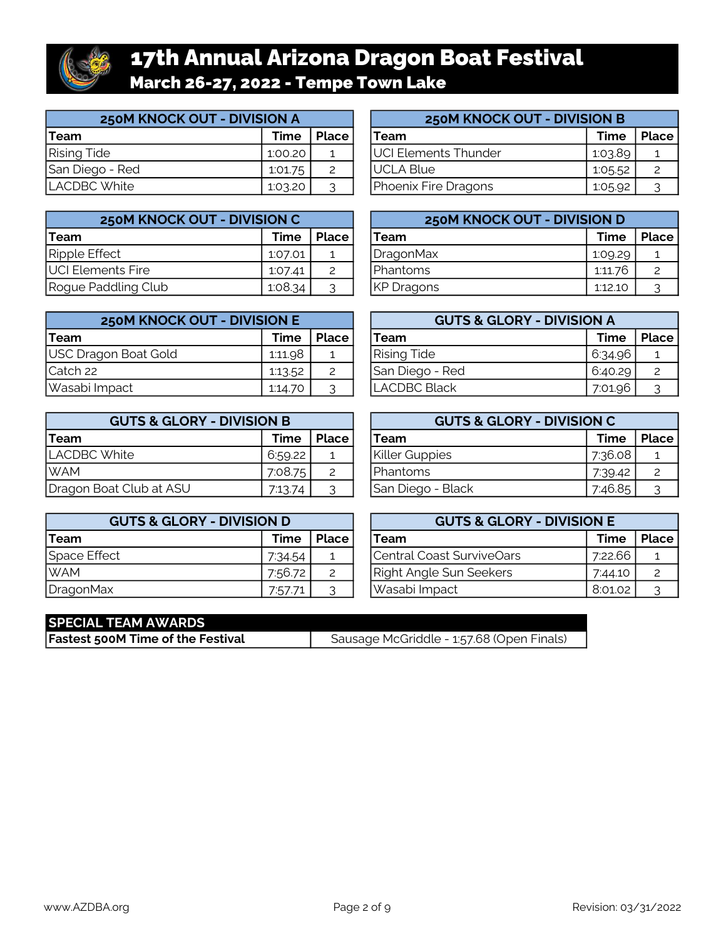

# 17th Annual Arizona Dragon Boat Festival March 26-27, 2022 - Tempe Town Lake

| 250M KNOCK OUT - DIVISION A |         |       | <b>250M KNOCK OUT - DIVISION B</b> |         |              |
|-----------------------------|---------|-------|------------------------------------|---------|--------------|
| <b>'Team</b>                | Time    | Place | Team                               | Time    | <b>Place</b> |
| <b>Rising Tide</b>          | 1:00.20 |       | <b>UCI Elements Thunder</b>        | 1.03.89 |              |
| San Diego - Red             | 1:01.75 |       | UCLA Blue                          | 1:05.52 |              |
| LACDBC White                | 1:03.20 | っ     | Phoenix Fire Dragons               | 1:05.92 |              |

| 250M KNOCK OUT - DIVISION C |         |                       | 250M KNOCK OUT - DIVISION D |                   |             |              |
|-----------------------------|---------|-----------------------|-----------------------------|-------------------|-------------|--------------|
| <b>Team</b>                 | Time    | <b>Place</b>          |                             | Team              | <b>Time</b> | <b>Place</b> |
| Ripple Effect               | 1:07.01 |                       |                             | DragonMax         | 1:09.29     |              |
| UCI Elements Fire           | 1:07.41 | $\mathbf{2}^{\prime}$ |                             | <b>I</b> Phantoms | 1:11.76     |              |
| Rogue Paddling Club         | 1:08.34 | ⌒                     |                             | KP Dragons        | 1:12.10     |              |

| <b>250M KNOCK OUT - DIVISION E</b> |         |       | <b>GUTS &amp; GLORY - DIVISION A</b> |         |              |
|------------------------------------|---------|-------|--------------------------------------|---------|--------------|
| <b>Team</b>                        | Time    | Place | Team                                 | Time    | <b>Place</b> |
| USC Dragon Boat Gold               | 1:11.98 |       | <b>Rising Tide</b>                   | 6:34.96 |              |
| Catch 22                           | 1:13.52 | 2     | San Diego - Red                      | 6:40.29 |              |
| Wasabi Impact                      | 1:14.70 | っ     | <b>ILACDBC Black</b>                 | 7:01.96 |              |

| <b>GUTS &amp; GLORY - DIVISION B</b> |         |       | <b>GUTS &amp; GLORY - DIVISION C</b> |             |              |
|--------------------------------------|---------|-------|--------------------------------------|-------------|--------------|
| Team                                 | Time    | Place | Team                                 | <b>Time</b> | <b>Place</b> |
| ILACDBC White                        | 6:59.22 |       | Killer Guppies                       | 7:36.08     |              |
| <b>WAM</b>                           | 7:08.75 | 2     | <b>I</b> Phantoms                    | 7:39.42     |              |
| Dragon Boat Club at ASU              | 7:13.74 | っ     | San Diego - Black                    | 7:46.85     |              |

| <b>GUTS &amp; GLORY - DIVISION D</b> |         |              | <b>GUTS &amp; GLORY - DIVISION E</b> |         |       |
|--------------------------------------|---------|--------------|--------------------------------------|---------|-------|
| <b>Team</b>                          | Time    | <b>Place</b> | Team                                 | Time    | Place |
| Space Effect                         | 7:34.54 |              | Central Coast SurviveOars            | 7:22.66 |       |
| <b>WAM</b>                           | 7:56.72 | 2            | Right Angle Sun Seekers              | 7.44.10 |       |
| DragonMax                            | 7:57.71 | っ            | Wasabi Impact                        | 8:01.02 |       |

| 250M KNOCK OUT - DIVISION B |             |              |  |  |  |  |
|-----------------------------|-------------|--------------|--|--|--|--|
| Team                        | <b>Time</b> | <b>Place</b> |  |  |  |  |
| UCI Elements Thunder        | 1:03.89     |              |  |  |  |  |
| UCLA Blue                   | 1:05.52     |              |  |  |  |  |
| Phoenix Fire Dragons        | 1:05.92     | っ            |  |  |  |  |

| 250M KNOCK OUT - DIVISION D |         |       |  |  |  |  |
|-----------------------------|---------|-------|--|--|--|--|
| Team                        | Time    | Place |  |  |  |  |
| <b>DragonMax</b>            | 1:09.29 |       |  |  |  |  |
| Phantoms                    | 1:11.76 |       |  |  |  |  |
| KP Dragons                  | 1:12.10 |       |  |  |  |  |

| <b>GUTS &amp; GLORY - DIVISION A</b> |             |              |  |  |  |  |
|--------------------------------------|-------------|--------------|--|--|--|--|
| Team                                 | <b>Time</b> | <b>Place</b> |  |  |  |  |
| <b>Rising Tide</b>                   | 6:34.96     |              |  |  |  |  |
| San Diego - Red                      | 6:40.29     |              |  |  |  |  |
| LACDBC Black                         | 7:01.96     |              |  |  |  |  |

| <b>GUTS &amp; GLORY - DIVISION C</b> |         |       |  |  |  |  |  |  |  |
|--------------------------------------|---------|-------|--|--|--|--|--|--|--|
| <b>Team</b>                          | Time    | Place |  |  |  |  |  |  |  |
| <b>Killer Guppies</b>                | 7:36.08 |       |  |  |  |  |  |  |  |
| Phantoms                             | 7:39.42 |       |  |  |  |  |  |  |  |
| San Diego - Black                    | 7:46.85 |       |  |  |  |  |  |  |  |

| <b>GUTS &amp; GLORY - DIVISION E</b> |             |              |  |  |  |  |  |  |  |  |
|--------------------------------------|-------------|--------------|--|--|--|--|--|--|--|--|
| <b>Team</b>                          | <b>Time</b> | <b>Place</b> |  |  |  |  |  |  |  |  |
| Central Coast SurviveOars            | 7:22.66     |              |  |  |  |  |  |  |  |  |
| Right Angle Sun Seekers              | 7:44.10     |              |  |  |  |  |  |  |  |  |
| Wasabi Impact                        | 8:01.02     |              |  |  |  |  |  |  |  |  |

| <b>SPECIAL TEAM AWARDS</b>               |                                           |
|------------------------------------------|-------------------------------------------|
| <b>Fastest 500M Time of the Festival</b> | Sausage McGriddle - 1:57.68 (Open Finals) |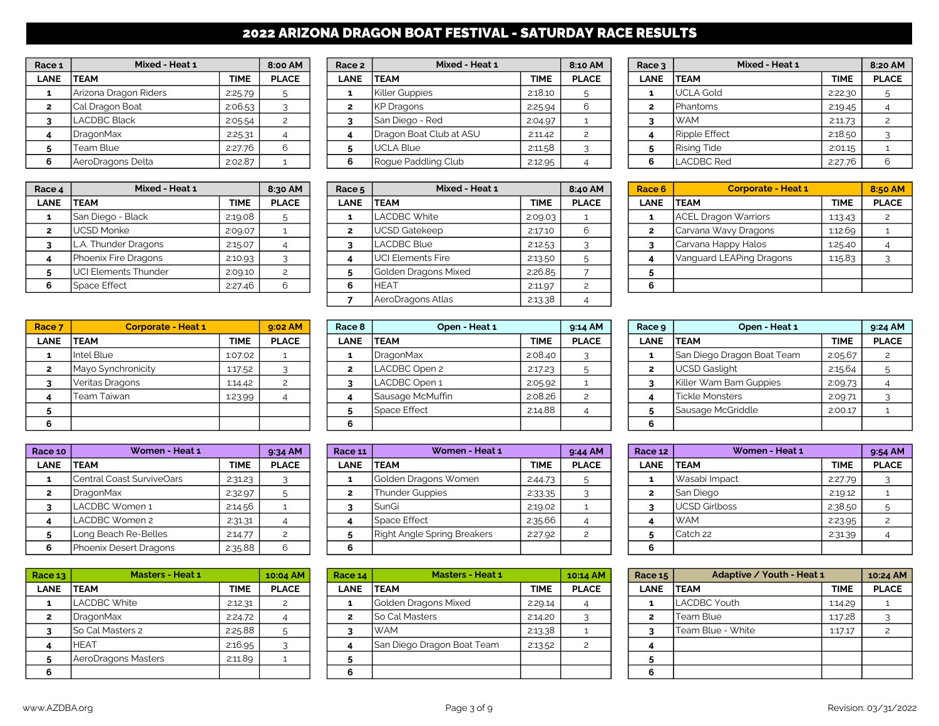# 2022 ARIZONA DRAGON BOAT FESTIVAL - SATURDAY RACE RESULTS

| Race 1       | Mixed - Heat 1        |             | 8:00 AM      |
|--------------|-----------------------|-------------|--------------|
| <b>LANE</b>  | <b>TEAM</b>           | <b>TIME</b> | <b>PLACE</b> |
| 1            | Arizona Dragon Riders | 2:25.79     | 5            |
| $\mathbf{2}$ | Cal Dragon Boat       | 2:06.53     | 3            |
| 3            | <b>LACDBC Black</b>   | 2:05.54     |              |
| 4            | <b>DragonMax</b>      | 2:25.31     |              |
| 5            | Team Blue             | 2:27.76     | 6            |
| 6            | AeroDragons Delta     | 2:02.87     |              |

| Race 4 | Mixed - Heat 1       |             | 8:30 AM      | Race 5      | Mixed - Heat 1            |             | 8:40 AM      | Race 6 | <b>Corporate - Heat 1</b>   |             | 8:50 AM      |
|--------|----------------------|-------------|--------------|-------------|---------------------------|-------------|--------------|--------|-----------------------------|-------------|--------------|
| LANE   | <b>TEAM</b>          | <b>TIME</b> | <b>PLACE</b> | <b>LANE</b> | <b>ITEAM</b>              | <b>TIME</b> | <b>PLACE</b> | LANE   | <b>ITEAM</b>                | <b>TIME</b> | <b>PLACE</b> |
|        | San Diego - Black    | 2:19.08     |              |             | LACDBC White              | 2:09.03     |              |        | <b>ACEL Dragon Warriors</b> | 1:13.43     |              |
|        | <b>UCSD Monke</b>    | 2:09.07     |              |             | UCSD Gatekeep             | 2:17.10     |              |        | Carvana Wavy Dragons        | 1:12.69     |              |
|        | . Thunder Dragons    | 2:15.07     |              |             | <b>LACDBC Blue</b>        | 2:12.53     |              |        | Carvana Happy Halos         | 1:25.40     |              |
|        | Phoenix Fire Dragons | 2:10.93     |              |             | <b>IUCI Elements Fire</b> | 2:13.50     |              |        | Vanguard LEAPing Dragons    | 1:15.83     |              |
|        | UCI Elements Thunder | 2:09.10     |              |             | Golden Dragons Mixed      | 2:26.85     |              |        |                             |             |              |
|        | Space Effect         | 2:27.46     |              | n           | IHEAT                     | 2:11.97     |              |        |                             |             |              |
|        |                      |             |              |             |                           |             |              |        |                             |             |              |

| Race <sub>7</sub> | <b>Corporate - Heat 1</b> |             | 9:02 AM      |
|-------------------|---------------------------|-------------|--------------|
| <b>LANE</b>       | <b>TEAM</b>               | <b>TIME</b> | <b>PLACE</b> |
| 1                 | Intel Blue                | 1:07.02     |              |
| $\overline{2}$    | Mayo Synchronicity        | 1:17.52     |              |
| 3                 | Veritas Dragons           | 1:14.42     |              |
|                   | Team Taiwan               | 1:23.99     |              |
| 5                 |                           |             |              |
| 6                 |                           |             |              |

| Race 10        | Women - Heat 1            |             | 9:34 AM       |
|----------------|---------------------------|-------------|---------------|
| <b>LANE</b>    | <b>TEAM</b>               | <b>TIME</b> | <b>PLACE</b>  |
| 1              | Central Coast SurviveOars | 2:31.23     |               |
| $\overline{2}$ | <b>DragonMax</b>          | 2:32.97     | 5             |
| 3              | LACDBC Women 1            | 2:14.56     |               |
| 4              | LACDBC Women 2            | 2:31.31     |               |
| 5              | Long Beach Re-Belles      | 2:14.77     | $\mathcal{P}$ |
| 6              | Phoenix Desert Dragons    | 2:35.88     | հ             |

| Race 13        | <b>Masters - Heat 1</b> |             | 10:04 AM     |
|----------------|-------------------------|-------------|--------------|
| <b>LANE</b>    | <b>TEAM</b>             | <b>TIME</b> | <b>PLACE</b> |
| 1              | <b>LACDBC White</b>     | 2:12.31     |              |
| $\overline{2}$ | <b>DragonMax</b>        | 2:24.72     |              |
| 3              | So Cal Masters 2        | 2:25.88     | 5            |
|                | <b>HEAT</b>             | 2:16.95     |              |
| 5              | AeroDragons Masters     | 2:11.89     |              |
|                |                         |             |              |

| Race <sub>1</sub> | Mixed - Heat 1        |             | 8:00 AM      | Race 2      | Mixed - Heat 1          |             | 8:10 AM      | Race 3      | Mixed - Heat 1     |             | 8:20 AM      |
|-------------------|-----------------------|-------------|--------------|-------------|-------------------------|-------------|--------------|-------------|--------------------|-------------|--------------|
| <b>LANE</b>       | <b>TEAM</b>           | <b>TIME</b> | <b>PLACE</b> | <b>LANE</b> | <b>ITEAM</b>            | <b>TIME</b> | <b>PLACE</b> | <b>LANE</b> | <b>TEAM</b>        | <b>TIME</b> | <b>PLACE</b> |
|                   | Arizona Dragon Riders | 2:25.79     |              |             | Killer Guppies          | 2:18.10     |              |             | <b>UCLA Gold</b>   | 2:22.30     |              |
|                   | Cal Dragon Boat       | 2:06.53     |              |             | KP Dragons              | 2:25.94     | 6            |             | Phantoms           | 2:19.45     |              |
|                   | <b>LACDBC Black</b>   | 2:05.54     |              |             | San Diego - Red         | 2:04.97     |              |             | <b>WAM</b>         | 2:11.73     |              |
|                   | <b>DragonMax</b>      | 2:25.31     |              |             | Dragon Boat Club at ASU | 2:11.42     |              |             | Ripple Effect      | 2:18.50     |              |
|                   | Team Blue             | 2:27.76     |              |             | <b>IUCLA Blue</b>       | 2:11.58     |              |             | <b>Rising Tide</b> | 2:01.15     |              |
| 6.                | AeroDragons Delta     | 2:02.87     |              |             | Roque Paddling Club     | 2:12.95     |              | 6           | <b>LACDBC Red</b>  | 2:27.76     |              |

| ce 4      | Mixed - Heat 1       |             | Mixed - Heat 1<br>8:30 AM<br>Race <sub>5</sub> |             | 8:40 AM                    | Race 6      | <b>Corporate - Heat 1</b> |      | 8:50                        |             |            |
|-----------|----------------------|-------------|------------------------------------------------|-------------|----------------------------|-------------|---------------------------|------|-----------------------------|-------------|------------|
| <b>NE</b> | <b>TEAM</b>          | <b>TIME</b> | <b>PLACE</b>                                   | <b>LANE</b> | <b>ITEAM</b>               | <b>TIME</b> | <b>PLACE</b>              | LANE | <b>ITEAM</b>                | <b>TIME</b> | <b>PLA</b> |
|           | San Diego - Black    | 2:19.08     |                                                |             | LACDBC White               | 2:09.03     |                           |      | <b>ACEL Dragon Warriors</b> | 1:13.43     |            |
|           | <b>UCSD Monke</b>    | 2:09.07     |                                                |             | UCSD Gatekeep              | 2:17.10     | 6                         |      | Carvana Wavy Dragons        | 1:12.69     |            |
|           | L.A. Thunder Dragons | 2:15.07     |                                                |             | LACDBC Blue                | 2:12.53     |                           |      | Carvana Happy Halos         | 1:25.40     |            |
|           | Phoenix Fire Dragons | 2:10.93     |                                                |             | <b>I</b> UCI Elements Fire | 2:13.50     |                           |      | Vanguard LEAPing Dragons    | 1:15.83     |            |
|           | UCI Elements Thunder | 2:09.10     |                                                |             | Golden Dragons Mixed       | 2:26.85     |                           |      |                             |             |            |
|           | Space Effect         | 2:27.46     |                                                | 6.          | <b>HEAT</b>                | 2:11.97     |                           |      |                             |             |            |
|           |                      |             |                                                |             | AeroDragons Atlas          | 2:13.38     |                           |      |                             |             |            |

| Race <sub>7</sub> | <b>Corporate - Heat 1</b> |             | $9:02$ AM    | Race 8 | Open - Heat 1    |             | $9:14$ AM    | Race 9 |             | Open - Heat 1              |             | 9:24 AM      |
|-------------------|---------------------------|-------------|--------------|--------|------------------|-------------|--------------|--------|-------------|----------------------------|-------------|--------------|
| <b>LANE</b>       | <b>TEAM</b>               | <b>TIME</b> | <b>PLACE</b> | LANE   | <b>TEAM</b>      | <b>TIME</b> | <b>PLACE</b> |        | <b>LANE</b> | <b>TEAM</b>                | <b>TIME</b> | <b>PLACE</b> |
|                   | Intel Blue                | 1:07.02     |              |        | DragonMax        | 2:08.40     |              |        |             | San Diego Dragon Boat Team | 2:05.67     |              |
|                   | Mayo Synchronicity        | 1:17.52     |              |        | LACDBC Open 2    | 2:17.23     |              |        |             | <b>UCSD Gaslight</b>       | 2:15.64     |              |
|                   | Veritas Dragons           | 1:14.42     |              |        | LACDBC Open 1    | 2:05.92     |              |        |             | Killer Wam Bam Guppies     | 2:09.73     |              |
|                   | Team Taiwan               | 1:23.99     |              |        | Sausage McMuffin | 2:08.26     |              |        |             | Tickle Monsters            | 2:09.71     |              |
|                   |                           |             |              |        | lSpace Effect    | 2:14.88     |              |        |             | Sausage McGriddle          | 2:00.17     |              |
|                   |                           |             |              |        |                  |             |              |        |             |                            |             |              |

| <b>Race 10</b> l | Women - Heat 1            |         | $9:34$ AM    | Race 11 | Women - Heat 1              |             | $9:44$ AM    | Race 12     | Women - Heat 1 |             | $9:54$ AM    |
|------------------|---------------------------|---------|--------------|---------|-----------------------------|-------------|--------------|-------------|----------------|-------------|--------------|
| <b>LANE</b>      | <b>TEAM</b>               | TIME    | <b>PLACE</b> | LANE    | <b>ITEAM</b>                | <b>TIME</b> | <b>PLACE</b> | <b>LANE</b> | <b>ITEAM</b>   | <b>TIME</b> | <b>PLACE</b> |
|                  | Central Coast SurviveOars | 2:31.23 |              |         | Golden Dragons Women        | 2:44.73     |              |             | Wasabi Impact  | 2:27.79     |              |
|                  | DragonMax                 | 2:32.97 |              |         | Thunder Guppies             | 2:33.35     |              |             | San Diego      | 2:19.12     |              |
|                  | LACDBC Women 1            | 2:14.56 |              |         | <b>SunGi</b>                | 2:19.02     |              |             | UCSD Girlboss  | 2:38.50     |              |
|                  | LACDBC Women 2            | 2:31.31 |              |         | <b>Space Effect</b>         | 2:35.66     |              |             | <b>WAM</b>     | 2:23.95     |              |
|                  | Long Beach Re-Belles      | 2:14.77 |              |         | Right Angle Spring Breakers | 2:27.92     |              |             | Catch 22       | 2:31.39     |              |
| 6                | Phoenix Desert Dragons    | 2:35.88 |              |         |                             |             |              |             |                |             |              |

| ace <sub>13</sub> | <b>Masters - Heat 1</b> |             | 10:04 AM     | Race 14     | <b>Masters - Heat 1</b>    |             | 10:14 AM     | Race 15     | Adaptive / Youth - Heat 1 |             | 10:24 AM     |
|-------------------|-------------------------|-------------|--------------|-------------|----------------------------|-------------|--------------|-------------|---------------------------|-------------|--------------|
| LANE              | <b>TEAM</b>             | <b>TIME</b> | <b>PLACE</b> | <b>LANE</b> | <b>ITEAM</b>               | <b>TIME</b> | <b>PLACE</b> | <b>LANE</b> | <b>ITEAM</b>              | <b>TIME</b> | <b>PLACE</b> |
|                   | <b>LACDBC White</b>     | 2:12.31     |              |             | Golden Dragons Mixed       | 2:29.14     |              |             | LACDBC Youth              | 1:14.29     |              |
| $\overline{2}$    | DragonMax               | 2:24.72     |              |             | <b>ISo Cal Masters</b>     | 2:14.20     |              |             | Team Blue                 | 1:17.28     |              |
|                   | <b>So Cal Masters 2</b> | 2:25.88     |              |             | IWAM                       | 2:13.38     |              |             | Team Blue - White         | 1:17.17     |              |
|                   | <b>HEAT</b>             | 2:16.95     |              |             | San Diego Dragon Boat Team | 2:13.52     |              |             |                           |             |              |
|                   | AeroDragons Masters     | 2:11.89     |              |             |                            |             |              |             |                           |             |              |
|                   |                         |             |              |             |                            |             |              |             |                           |             |              |

| Race 3         | Mixed - Heat 1       |             | 8:20 AM      |
|----------------|----------------------|-------------|--------------|
| <b>LANE</b>    | <b>TEAM</b>          | <b>TIME</b> | <b>PLACE</b> |
| 1              | <b>UCLA Gold</b>     | 2:22.30     | 5            |
| $\overline{2}$ | Phantoms             | 2:19.45     |              |
| 3              | <b>WAM</b>           | 2:11.73     | 2            |
| 4              | <b>Ripple Effect</b> | 2:18.50     |              |
| 5              | <b>Rising Tide</b>   | 2:01.15     |              |
| 6              | <b>LACDBC Red</b>    | 2:27.76     | ี            |

| Race 6       | <b>Corporate - Heat 1</b>   |             | 8:50 AM       |
|--------------|-----------------------------|-------------|---------------|
| <b>LANE</b>  | <b>TEAM</b>                 | <b>TIME</b> | <b>PLACE</b>  |
| 1            | <b>ACEL Dragon Warriors</b> | 1:13.43     | $\mathcal{P}$ |
| $\mathbf{z}$ | Carvana Wavy Dragons        | 1:12.69     |               |
| 3            | Carvana Happy Halos         | 1:25.40     |               |
|              | Vanquard LEAPing Dragons    | 1:15.83     |               |
| 5            |                             |             |               |
| 6            |                             |             |               |

| Race 9         | Open - Heat 1              |             | 9:24 AM      |
|----------------|----------------------------|-------------|--------------|
| <b>LANE</b>    | <b>TEAM</b>                | <b>TIME</b> | <b>PLACE</b> |
| 1              | San Diego Dragon Boat Team | 2:05.67     | 2            |
| $\overline{2}$ | <b>UCSD Gaslight</b>       | 2:15.64     | 5            |
| 3              | Killer Wam Bam Guppies     | 2:09.73     |              |
| 4              | <b>Tickle Monsters</b>     | 2:09.71     |              |
| 5              | Sausage McGriddle          | 2:00.17     |              |
| 6              |                            |             |              |

| Race 12        | Women - Heat 1       |             | 9:54 AM        |
|----------------|----------------------|-------------|----------------|
| <b>LANE</b>    | <b>TEAM</b>          | <b>TIME</b> | <b>PLACE</b>   |
| 1              | Wasabi Impact        | 2:27.79     |                |
| $\overline{2}$ | San Diego            | 2:19.12     |                |
| 3              | <b>UCSD Girlboss</b> | 2:38.50     | 5              |
|                | <b>WAM</b>           | 2:23.95     | $\overline{c}$ |
| 5              | Catch 22             | 2:31.39     |                |
| 6              |                      |             |                |

| Race 13     | <b>Masters - Heat 1</b> |             | 10:04 AM     | Race 14     | <b>Masters - Heat 1</b>    | 10:14 AM    |              |             | Adaptive / Youth - Heat 1<br>Race 15 |                   |             | 10:24 AM     |
|-------------|-------------------------|-------------|--------------|-------------|----------------------------|-------------|--------------|-------------|--------------------------------------|-------------------|-------------|--------------|
| <b>LANE</b> | <b>ITEAM</b>            | <b>TIME</b> | <b>PLACE</b> | <b>LANE</b> | <b>ITEAM</b>               | <b>TIME</b> | <b>PLACE</b> | <b>LANE</b> |                                      | <b>TEAM</b>       | <b>TIME</b> | <b>PLACE</b> |
|             | <b>LACDBC White</b>     | 2:12.31     |              |             | Golden Dragons Mixed       | 2:29.14     |              |             |                                      | LACDBC Youth      | 1:14.29     |              |
|             | DragonMax               | 2:24.72     |              |             | <b>ISo Cal Masters</b>     | 2:14.20     |              |             |                                      | Team Blue         | 1:17.28     |              |
|             | So Cal Masters 2        | 2:25.88     |              |             | IWAM                       | 2:13.38     |              |             |                                      | Team Blue - White | 1:17.17     |              |
|             | HEAT                    | 2:16.95     |              |             | San Diego Dragon Boat Team | 2:13.52     |              |             |                                      |                   |             |              |
|             | AeroDragons Masters     | 2:11.89     |              |             |                            |             |              |             |                                      |                   |             |              |
|             |                         |             |              |             |                            |             |              |             |                                      |                   |             |              |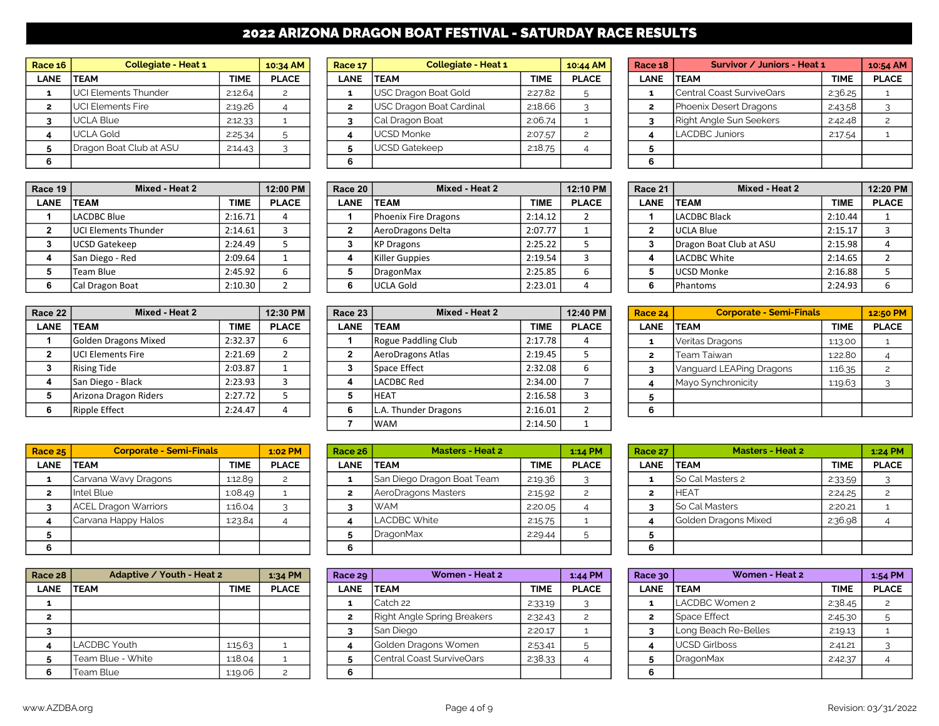# 2022 ARIZONA DRAGON BOAT FESTIVAL - SATURDAY RACE RESULTS

| Race $16$ | <b>Collegiate - Heat 1</b>  |             | 10:34 AM     | <b>Race 17</b> | <b>Collegiate - Heat 1</b> |             | 10:44 AM     | Race 18 | Survivor / Juniors - Heat 1 |             | 10:54 AM     |
|-----------|-----------------------------|-------------|--------------|----------------|----------------------------|-------------|--------------|---------|-----------------------------|-------------|--------------|
| LANE      | <b>TEAM</b>                 | <b>TIME</b> | <b>PLACE</b> | LANE           | <b>TEAM</b>                | <b>TIME</b> | <b>PLACE</b> | LANE    | <b>ITEAM</b>                | <b>TIME</b> | <b>PLACE</b> |
|           | <b>UCI Elements Thunder</b> | 2:12.64     |              |                | USC Dragon Boat Gold       | 2:27.82     |              |         | Central Coast SurviveOars   | 2:36.25     |              |
|           | <b>UCI Elements Fire</b>    | 2:19.26     |              |                | USC Dragon Boat Cardinal   | 2:18.66     |              |         | Phoenix Desert Dragons      | 2:43.58     |              |
|           | UCLA Blue                   | 2:12.33     |              |                | Cal Dragon Boat            | 2:06.74     |              |         | Right Angle Sun Seekers     | 2:42.48     |              |
|           | UCLA Gold                   | 2:25.34     |              |                | <b>I</b> UCSD Monke        | 2:07.57     |              |         | <b>LACDBC Juniors</b>       | 2:17.54     |              |
|           | Dragon Boat Club at ASU     | 2:14.43     |              |                | UCSD Gatekeep              | 2:18.75     |              |         |                             |             |              |
|           |                             |             |              |                |                            |             |              |         |                             |             |              |

| Race 19 | Mixed - Heat 2              |             | 12:00 PM     | Race 20 | Mixed - Heat 2       |             | 12:10 PM     | Race 21 | Mixed - Heat 2          |             | 12:20 PM     |
|---------|-----------------------------|-------------|--------------|---------|----------------------|-------------|--------------|---------|-------------------------|-------------|--------------|
| LANE    | <b>TEAM</b>                 | <b>TIME</b> | <b>PLACE</b> | LANE    | <b>TEAM</b>          | <b>TIME</b> | <b>PLACE</b> | LANE    | <b>TEAM</b>             | <b>TIME</b> | <b>PLACE</b> |
|         | LACDBC Blue                 | 2:16.71     |              |         | Phoenix Fire Dragons | 2:14.12     |              |         | LACDBC Black            | 2:10.44     |              |
|         | <b>UCI Elements Thunder</b> | 2:14.61     |              |         | AeroDragons Delta    | 2:07.77     |              |         | UCLA Blue               | 2:15.17     |              |
|         | UCSD Gatekeep               | 2:24.49     |              |         | KP Dragons           | 2:25.22     |              |         | Dragon Boat Club at ASU | 2:15.98     |              |
|         | San Diego - Red             | 2:09.64     |              |         | Killer Guppies       | 2:19.54     |              |         | LACDBC White            | 2:14.65     |              |
|         | Team Blue                   | 2:45.92     |              |         | DragonMax            | 2:25.85     |              |         | UCSD Monke              | 2:16.88     |              |
|         | Cal Dragon Boat             | 2:10.30     |              |         | lUCLA Gold           | 2:23.01     |              |         | <b>Phantoms</b>         | 2:24.93     |              |

| Race 22     | Mixed - Heat 2              |             | 12:30 PM     |
|-------------|-----------------------------|-------------|--------------|
| <b>LANE</b> | <b>TEAM</b>                 | <b>TIME</b> | <b>PLACE</b> |
| 1           | <b>Golden Dragons Mixed</b> | 2:32.37     | 6            |
| 2           | <b>UCI Elements Fire</b>    | 2:21.69     |              |
| 3           | <b>Rising Tide</b>          | 2:03.87     |              |
| 4           | San Diego - Black           | 2:23.93     | 3            |
| 5           | Arizona Dragon Riders       | 2:27.72     | 5            |
| 6           | <b>Ripple Effect</b>        | 2:24.47     |              |

| <b>Race 25</b> | <b>Corporate - Semi-Finals</b> |             | 1:02 PM      |
|----------------|--------------------------------|-------------|--------------|
| <b>LANE</b>    | TEAM                           | <b>TIME</b> | <b>PLACE</b> |
| 1              | Carvana Wavy Dragons           | 1:12.89     |              |
| $\overline{2}$ | Intel Blue                     | 1:08.49     |              |
| 3              | <b>ACEL Dragon Warriors</b>    | 1:16.04     |              |
| 4              | Carvana Happy Halos            | 1:23.84     |              |
| 5              |                                |             |              |
| 6              |                                |             |              |

| Race 28     | Adaptive / Youth - Heat 2 |             | 1:34 PM      |
|-------------|---------------------------|-------------|--------------|
| <b>LANE</b> | <b>TEAM</b>               | <b>TIME</b> | <b>PLACE</b> |
|             |                           |             |              |
| 2           |                           |             |              |
| 3           |                           |             |              |
|             | <b>LACDBC Youth</b>       | 1:15.63     |              |
| 5           | Team Blue - White         | 1:18.04     |              |
| 6           | Team Blue                 | 1:19.06     | 2            |

| ace <sub>16</sub> | <b>Collegiate - Heat 1</b> |             | 10:34 AM     | Race 17     | <b>Collegiate - Heat 1</b> |             | 10:44 AM     | Race 18     | Survivor / Juniors - Heat 1 |             | 10:54 AM     |
|-------------------|----------------------------|-------------|--------------|-------------|----------------------------|-------------|--------------|-------------|-----------------------------|-------------|--------------|
| LANE              | <b>TEAM</b>                | <b>TIME</b> | <b>PLACE</b> | <b>LANE</b> | <b>ITEAM</b>               | <b>TIME</b> | <b>PLACE</b> | <b>LANE</b> | <b>TEAM</b>                 | <b>TIME</b> | <b>PLACE</b> |
|                   | UCI Elements Thunder       | 2:12.64     |              |             | USC Dragon Boat Gold       | 2:27.82     |              |             | Central Coast SurviveOars   | 2:36.25     |              |
|                   | UCI Elements Fire          | 2:19.26     |              |             | USC Dragon Boat Cardinal   | 2:18.66     |              |             | Phoenix Desert Dragons      | 2:43.58     |              |
|                   | <b>UCLA Blue</b>           | 2:12.33     |              |             | Cal Dragon Boat            | 2:06.74     |              |             | Right Angle Sun Seekers     | 2:42.48     |              |
|                   | <b>UCLA Gold</b>           | 2:25.34     |              |             | <b>IUCSD Monke</b>         | 2:07.57     |              |             | LACDBC Juniors              | 2:17.54     |              |
|                   | Dragon Boat Club at ASU    | 2:14.43     |              |             | <b>IUCSD Gatekeep</b>      | 2:18.75     |              |             |                             |             |              |
|                   |                            |             |              |             |                            |             |              |             |                             |             |              |

| ace 19 | Mixed - Heat 2               |             | 12:00 PM     | Race 20     | Mixed - Heat 2       |             | 12:10 PM     | Race 21     | Mixed - Heat 2          |             | 12:20 PM     |
|--------|------------------------------|-------------|--------------|-------------|----------------------|-------------|--------------|-------------|-------------------------|-------------|--------------|
| LANE   | <b>TEAM</b>                  | <b>TIME</b> | <b>PLACE</b> | <b>LANE</b> | <b>ITEAM</b>         | <b>TIME</b> | <b>PLACE</b> | <b>LANE</b> | <b>ITEAM</b>            | <b>TIME</b> | <b>PLACE</b> |
|        | LACDBC Blue                  | 2:16.71     |              |             | Phoenix Fire Dragons | 2:14.12     |              |             | LACDBC Black            | 2:10.44     |              |
|        | <b>IUCI Elements Thunder</b> | 2:14.61     |              |             | AeroDragons Delta    | 2:07.77     |              |             | UCLA Blue               | 2:15.17     |              |
|        | <b>UCSD Gatekeep</b>         | $2:24.49$   |              |             | <b>IKP Dragons</b>   | 2:25.22     |              |             | Dragon Boat Club at ASU | 2:15.98     |              |
|        | San Diego - Red              | 2:09.64     |              |             | Killer Guppies       | 2:19.54     |              |             | LACDBC White            | 2:14.65     |              |
|        | Team Blue                    | 2:45.92     |              |             | DragonMax            | 2:25.85     |              |             | UCSD Monke              | 2:16.88     |              |
|        | Cal Dragon Boat              | 2:10.30     |              |             | <b>IUCLA Gold</b>    | 2:23.01     |              |             | <b>Phantoms</b>         | 2:24.93     |              |

| ace 22 I | Mixed - Heat 2           |             | 12:30 PM     | Race 23     | Mixed - Heat 2       |             | 12:40 PM     | Race 24     | <b>Corporate - Semi-Finals</b> |             | 12:50 PM     |
|----------|--------------------------|-------------|--------------|-------------|----------------------|-------------|--------------|-------------|--------------------------------|-------------|--------------|
| LANE     | <b>TEAM</b>              | <b>TIME</b> | <b>PLACE</b> | <b>LANE</b> | <b>TEAM</b>          | <b>TIME</b> | <b>PLACE</b> | <b>LANE</b> | <b>TEAM</b>                    | <b>TIME</b> | <b>PLACE</b> |
|          | Golden Dragons Mixed     | 2:32.37     |              |             | Rogue Paddling Club  | 2:17.78     |              |             | Veritas Dragons                | 1:13.00     |              |
|          | <b>UCI Elements Fire</b> | 2:21.69     |              |             | AeroDragons Atlas    | 2:19.45     |              |             | Team Taiwan                    | 1:22.80     |              |
|          | <b>Rising Tide</b>       | 2:03.87     |              |             | <b>Space Effect</b>  | 2:32.08     |              |             | Vanguard LEAPing Dragons       | 1:16.35     |              |
|          | San Diego - Black        | 2:23.93     |              |             | <b>LACDBC Red</b>    | 2:34.00     |              |             | Mayo Synchronicity             | 1:19.63     |              |
|          | Arizona Dragon Riders    | 2:27.72     |              |             | ІНЕАТ                | 2:16.58     |              |             |                                |             |              |
|          | Ripple Effect            | 2:24.47     |              |             | L.A. Thunder Dragons | 2:16.01     |              |             |                                |             |              |
|          |                          |             |              |             | lwam                 | 2:14.50     |              |             |                                |             |              |

| <b>Race 25</b> | <b>Corporate - Semi-Finals</b> |             | 1:02 PM      | Race $26$   | <b>Masters - Heat 2</b>    |             | $1:14$ PM    | Race 27     | <b>Masters - Heat 2</b> |             | 1:24 PM      |
|----------------|--------------------------------|-------------|--------------|-------------|----------------------------|-------------|--------------|-------------|-------------------------|-------------|--------------|
| <b>LANE</b>    | <b>ITEAM</b>                   | <b>TIME</b> | <b>PLACE</b> | <b>LANE</b> | <b>ITEAM</b>               | <b>TIME</b> | <b>PLACE</b> | <b>LANE</b> | <b>TEAM</b>             | <b>TIME</b> | <b>PLACE</b> |
|                | Carvana Wavy Dragons           | 1:12.89     |              |             | San Diego Dragon Boat Team | 2:19.36     |              |             | <b>So Cal Masters 2</b> | 2:33.59     |              |
|                | Intel Blue                     | 1.08.49     |              |             | AeroDragons Masters        | 2:15.92     |              |             | <b>HEAT</b>             | 2:24.25     |              |
|                | <b>ACEL Dragon Warriors</b>    | $1:16.04$ 1 |              |             | IWAM                       | 2:20.05     |              |             | <b>So Cal Masters</b>   | 2:20.21     |              |
|                | Carvana Happy Halos            | 123.84      |              |             | <b>I</b> LACDBC White      | 2:15.75     |              |             | Golden Dragons Mixed    | 2:36.98     |              |
|                |                                |             |              |             | <b>IDragonMax</b>          | 2:29.44     |              |             |                         |             |              |
| 6              |                                |             |              |             |                            |             |              | 6           |                         |             |              |

| ace 28 | Adaptive / Youth - Heat 2 |             | 1:34 PM      | Race 29     | Women - Heat 2              |             | 1:44 PM      | <b>Race 30</b> | Women - Heat 2       |             | 1:54 PM      |
|--------|---------------------------|-------------|--------------|-------------|-----------------------------|-------------|--------------|----------------|----------------------|-------------|--------------|
| LANE   | <b>TEAM</b>               | <b>TIME</b> | <b>PLACE</b> | <b>LANE</b> | <b>ITEAM</b>                | <b>TIME</b> | <b>PLACE</b> | <b>LANE</b>    | <b>TEAM</b>          | <b>TIME</b> | <b>PLACE</b> |
|        |                           |             |              |             | ICatch 22                   | 2:33.19     |              |                | LACDBC Women 2       | 2:38.45     |              |
|        |                           |             |              |             | Right Angle Spring Breakers | 2:32.43     |              |                | Space Effect         | 2:45.30     |              |
|        |                           |             |              |             | <b>San Diego</b>            | 2:20.17     |              |                | Long Beach Re-Belles | 2:19.13     |              |
|        | <b>LACDBC Youth</b>       | 1:15.63     |              |             | Golden Dragons Women        | 2:53.41     |              |                | <b>UCSD Girlboss</b> | 2:41.21     |              |
|        | Team Blue - White         | 1:18.04     |              |             | Central Coast SurviveOars   | 2:38.33     |              |                | <b>DragonMax</b>     | 2:42.37     |              |
|        | Team Blue                 | 1:19.06     |              |             |                             |             |              |                |                      |             |              |

| Race 18        | Survivor / Juniors - Heat 1    |             | 10:54 AM      |
|----------------|--------------------------------|-------------|---------------|
| <b>LANE</b>    | <b>TEAM</b>                    | <b>TIME</b> | <b>PLACE</b>  |
| 1              | Central Coast SurviveOars      | 2:36.25     |               |
| $\overline{2}$ | <b>Phoenix Desert Dragons</b>  | 2:43.58     |               |
| 3              | <b>Right Angle Sun Seekers</b> | 2:42.48     | $\mathcal{P}$ |
|                | <b>LACDBC Juniors</b>          | 2:17.54     |               |
| 5              |                                |             |               |
| 6              |                                |             |               |

| Race 21      | Mixed - Heat 2          |             | 12:20 PM     |
|--------------|-------------------------|-------------|--------------|
| <b>LANE</b>  | <b>TEAM</b>             | <b>TIME</b> | <b>PLACE</b> |
| 1            | LACDBC Black            | 2:10.44     |              |
| $\mathbf{2}$ | <b>UCLA Blue</b>        | 2:15.17     | ٦            |
| 3            | Dragon Boat Club at ASU | 2:15.98     |              |
| 4            | LACDBC White            | 2:14.65     |              |
| 5            | <b>UCSD Monke</b>       | 2:16.88     |              |
| 6            | Phantoms                | 2:24.93     |              |

| Race 22     | Mixed - Heat 2           |             | 12:30 PM     | Race 23     | Mixed - Heat 2       |             | 12:40 PM     | Race 24     | <b>Corporate - Semi-Finals</b> |             | 12:50 PM     |
|-------------|--------------------------|-------------|--------------|-------------|----------------------|-------------|--------------|-------------|--------------------------------|-------------|--------------|
| <b>LANE</b> | <b>TEAM</b>              | <b>TIME</b> | <b>PLACE</b> | <b>LANE</b> | <b>ITEAM</b>         | <b>TIME</b> | <b>PLACE</b> | <b>LANE</b> | <b>TEAM</b>                    | <b>TIME</b> | <b>PLACE</b> |
|             | Golden Dragons Mixed     | 2:32.37     |              |             | Rogue Paddling Club  | 2:17.78     |              |             | Veritas Dragons                | 1:13.00     |              |
|             | <b>UCI Elements Fire</b> | 2:21.69     |              |             | AeroDragons Atlas    | 2:19.45     |              |             | Team Taiwan                    | 1:22.80     |              |
|             | <b>Rising Tide</b>       | 2:03.87     |              |             | <b>Space Effect</b>  | 2:32.08     |              |             | Vanguard LEAPing Dragons       | 1:16.35     |              |
|             | San Diego - Black        | 2:23.93     |              |             | LACDBC Red           | 2:34.00     |              |             | Mayo Synchronicity             | 1:19.63     |              |
|             | Arizona Dragon Riders    | 2:27.72     |              |             | IHEAT                | 2:16.58     |              |             |                                |             |              |
|             | <b>Ripple Effect</b>     | 2:24.47     |              |             | L.A. Thunder Dragons | 2:16.01     |              | 6           |                                |             |              |

| Race 27        | <b>Masters - Heat 2</b> |             | 1:24 PM      |
|----------------|-------------------------|-------------|--------------|
| <b>LANE</b>    | <b>TEAM</b>             | <b>TIME</b> | <b>PLACE</b> |
| 1              | So Cal Masters 2        | 2:33.59     |              |
| $\overline{2}$ | <b>HEAT</b>             | 2:24.25     |              |
| 3              | So Cal Masters          | 2:20.21     |              |
|                | Golden Dragons Mixed    | 2:36.98     |              |
| 5              |                         |             |              |
| 6              |                         |             |              |

| <b>Race 28</b> | Adaptive / Youth - Heat 2 |             | $1:34$ PM    | Race 29     | Women - Heat 2              |             | 1:44 PM      | <b>Race 30</b> | Women - Heat 2       |             | 1:54 PM      |
|----------------|---------------------------|-------------|--------------|-------------|-----------------------------|-------------|--------------|----------------|----------------------|-------------|--------------|
| <b>LANE</b>    | <b>ITEAM</b>              | <b>TIME</b> | <b>PLACE</b> | <b>LANE</b> | <b>TEAM</b>                 | <b>TIME</b> | <b>PLACE</b> | LANE           | <b>TEAM</b>          | <b>TIME</b> | <b>PLACE</b> |
|                |                           |             |              |             | lCatch 22                   | 2:33.19     |              |                | LACDBC Women 2       | 2:38.45     |              |
|                |                           |             |              |             | Right Angle Spring Breakers | 2:32.43     |              |                | Space Effect         | 2:45.30     |              |
|                |                           |             |              |             | San Diego                   | 2:20.17     |              |                | Long Beach Re-Belles | 2:19.13     |              |
|                | LACDBC Youth              | 1:15.63     |              |             | Golden Dragons Women        | 2:53.41     |              |                | <b>UCSD Girlboss</b> | 2:41.21     |              |
|                | Team Blue - White         | 1:18.04     |              |             | lCentral Coast SurviveOars  | 2:38.33     |              |                | DragonMax            | 2:42.37     |              |
|                | Team Blue                 | 1:19.06     |              |             |                             |             |              |                |                      |             |              |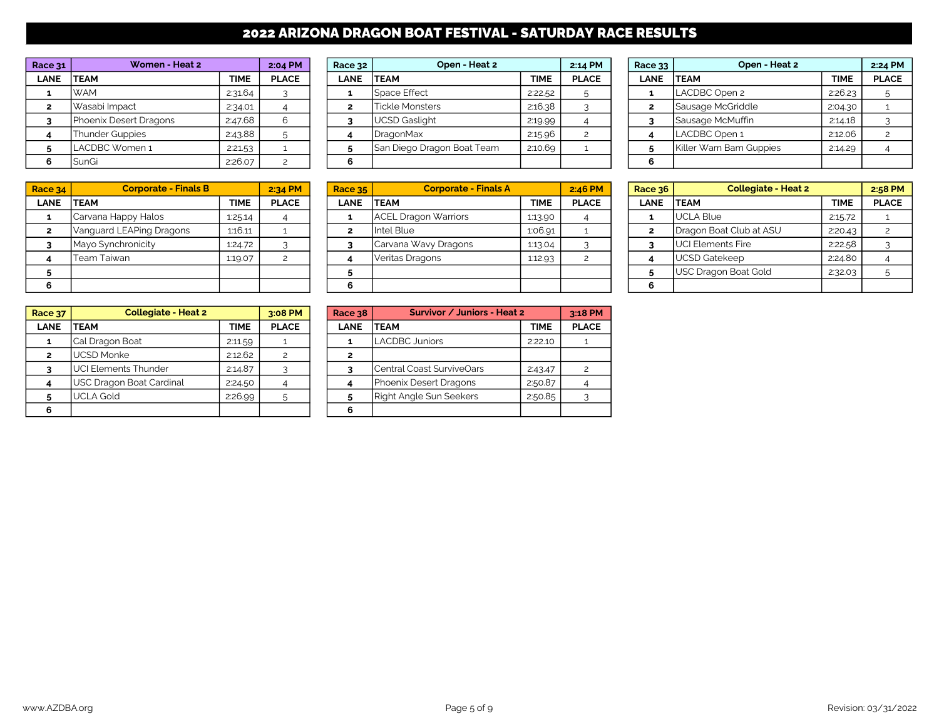# 2022 ARIZONA DRAGON BOAT FESTIVAL - SATURDAY RACE RESULTS

| Race 31 | Women - Heat 2         |             | 2:04 PM      | Race $32$   | Open - Heat 2              |             | 2:14 PM      | Race 33 | Open - Heat 2          |             | 2:24 PM      |
|---------|------------------------|-------------|--------------|-------------|----------------------------|-------------|--------------|---------|------------------------|-------------|--------------|
| LANE    | <b>TEAM</b>            | <b>TIME</b> | <b>PLACE</b> | <b>LANE</b> | <b>ITEAM</b>               | <b>TIME</b> | <b>PLACE</b> | LANE    | <b>TEAM</b>            | <b>TIME</b> | <b>PLACE</b> |
|         | <b>WAM</b>             | 2:31.64     |              |             | <b>Space Effect</b>        | 2:22.52     |              |         | LACDBC Open 2          | 2:26.23     |              |
|         | Wasabi Impact          | 2:34.01     |              |             | <b>Tickle Monsters</b>     | 2:16.38     |              |         | Sausage McGriddle      | 2:04.30     |              |
|         | Phoenix Desert Dragons | 2:47.68     |              |             | UCSD Gaslight              | 2:19.99     |              |         | Sausage McMuffin       | 2:14.18     |              |
|         | <b>Thunder Guppies</b> | 2:43.88     |              |             | <b>DragonMax</b>           | 2:15.96     |              |         | LACDBC Open 1          | 2:12.06     |              |
|         | LACDBC Women 1         | 2:21.53     |              |             | San Diego Dragon Boat Team | 2:10.69     |              |         | Killer Wam Bam Guppies | 2:14.29     |              |
|         | SunGi                  | 2:26.07     |              |             |                            |             |              |         |                        |             |              |

| Race 34 | <b>Corporate - Finals B</b> |             | 2:34 PM      | Race $35$ | <b>Corporate - Finals A</b> |             | 2:46 PM      | Race $36$   | <b>Collegiate - Heat 2</b> |             | 2:58 PM      |
|---------|-----------------------------|-------------|--------------|-----------|-----------------------------|-------------|--------------|-------------|----------------------------|-------------|--------------|
| LANE    | <b>TEAM</b>                 | <b>TIME</b> | <b>PLACE</b> | LANE      | <b>ITEAM</b>                | <b>TIME</b> | <b>PLACE</b> | <b>LANE</b> | <b>ITEAM</b>               | <b>TIME</b> | <b>PLACE</b> |
|         | Carvana Happy Halos         | 1:25.14     |              |           | ACEL Dragon Warriors        | 1:13.90     |              |             | UCLA Blue                  | 2:15.72     |              |
|         | Vanguard LEAPing Dragons    | 1:16.11     |              |           | Intel Blue                  | 1:06.91     |              |             | Dragon Boat Club at ASU    | 2:20.43     |              |
|         | Mayo Synchronicity          | 1:24.72     |              |           | Carvana Wavy Dragons        | 1:13.04     |              |             | <b>UCI Elements Fire</b>   | 2:22.58     |              |
|         | Team Taiwan                 | 1:19.07     |              |           | Veritas Dragons             | 1:12.93     |              |             | UCSD Gatekeep              | 2:24.80     |              |
|         |                             |             |              |           |                             |             |              |             | USC Dragon Boat Gold       | 2:32.03     |              |
|         |                             |             |              | 6         |                             |             |              |             |                            |             |              |

| Race 37        | <b>Collegiate - Heat 2</b>  |         | 3:08 PM       | <b>Race 38</b> | Survivor / Juniors - Heat 2        |             | 3:18 PM      |
|----------------|-----------------------------|---------|---------------|----------------|------------------------------------|-------------|--------------|
| <b>LANE</b>    | TEAM                        | TIME    | <b>PLACE</b>  | <b>LANE</b>    | <b>ITEAM</b>                       | <b>TIME</b> | <b>PLACE</b> |
|                | Cal Dragon Boat             | 2:11.59 |               |                | <b>LACDBC Juniors</b>              | 2:22.10     |              |
| $\overline{2}$ | UCSD Monke                  | 2:12.62 | $\mathcal{P}$ | 2              |                                    |             |              |
|                | <b>UCI Elements Thunder</b> | 2:14.87 |               |                | <b>I</b> Central Coast SurviveOars | 2.43.47     |              |
|                | USC Dragon Boat Cardinal    | 2:24.50 |               |                | Phoenix Desert Dragons             | 2:50.87     |              |
|                | <b>UCLA Gold</b>            | 2:26.99 | 5             |                | Right Angle Sun Seekers            | 2:50.85     |              |
|                |                             |         |               | 6              |                                    |             |              |

| ace 31 | Women - Heat 2         |             | 2:04 PM      | Race 32     | Open - Heat 2              | 2:14 PM     |              | Race 33     | Open - Heat 2          |             | 2:24 PM      |  |
|--------|------------------------|-------------|--------------|-------------|----------------------------|-------------|--------------|-------------|------------------------|-------------|--------------|--|
| LANE   | <b>TEAM</b>            | <b>TIME</b> | <b>PLACE</b> | <b>LANE</b> | <b>TEAM</b>                | <b>TIME</b> | <b>PLACE</b> | <b>LANE</b> | <b>ITEAM</b>           | <b>TIME</b> | <b>PLACE</b> |  |
|        | <b>WAM</b>             | 2:31.64     |              |             | <b>Space Effect</b>        | 2:22.52     |              |             | LACDBC Open 2          | 2:26.23     |              |  |
|        | Wasabi Impact          | 2:34.01     |              |             | <b>Tickle Monsters</b>     | 2:16.38     |              |             | Sausage McGriddle      | 2:04.30     |              |  |
|        | Phoenix Desert Dragons | 2:47.68     |              |             | UCSD Gaslight              | 2:19.99     |              |             | Sausage McMuffin       | 2:14.18     |              |  |
|        | Thunder Guppies        | 2:43.88     |              |             | <b>IDragonMax</b>          | 2:15.96     |              |             | LACDBC Open 1          | 2:12.06     |              |  |
|        | LACDBC Women 1         | 2:21.53     |              |             | San Diego Dragon Boat Team | 2:10.69     |              |             | Killer Wam Bam Guppies | 2:14.29     |              |  |
|        | SunGi                  | 2:26.07     |              |             |                            |             |              |             |                        |             |              |  |

| e 34:     | <b>Corporate - Finals B</b> |             | $2:34$ PM    | <b>Race 35</b> | <b>Corporate - Finals A</b> |             | 2:46 PM      | Race 36     | <b>Collegiate - Heat 2</b> |             | 2:58       |
|-----------|-----------------------------|-------------|--------------|----------------|-----------------------------|-------------|--------------|-------------|----------------------------|-------------|------------|
| <b>NE</b> | <b>TEAM</b>                 | <b>TIME</b> | <b>PLACE</b> | <b>LANE</b>    | <b>ITEAM</b>                | <b>TIME</b> | <b>PLACE</b> | <b>LANE</b> | <b>TEAM</b>                | <b>TIME</b> | <b>PLA</b> |
|           | Carvana Happy Halos         | 1:25.14     |              |                | <b>ACEL Dragon Warriors</b> | 1:13.90     |              |             | UCLA Blue                  | 2:15.72     |            |
|           | Vanguard LEAPing Dragons    | 1:16.11     |              |                | Intel Blue                  | 1:06.91     |              |             | Dragon Boat Club at ASU    | 2:20.43     |            |
|           | Mayo Synchronicity          | 1:24.72     |              |                | Carvana Wavy Dragons        | 1:13.04     |              |             | <b>I</b> UCI Elements Fire | 2:22.58     |            |
|           | Team Taiwan                 | 1:19.07     |              |                | Veritas Dragons             | 1:12.93     |              |             | UCSD Gatekeep              | 2:24.80     |            |
|           |                             |             |              |                |                             |             |              |             | USC Dragon Boat Gold       | 2:32.03     |            |
|           |                             |             |              | 6              |                             |             |              |             |                            |             |            |

| <b>Collegiate - Heat 2</b> |             | 3:08 PM      | Race 38     | Survivor / Juniors - Heat 2 |             | 3:18 PM      |
|----------------------------|-------------|--------------|-------------|-----------------------------|-------------|--------------|
|                            | <b>TIME</b> | <b>PLACE</b> | <b>LANE</b> | <b>TEAM</b>                 | <b>TIME</b> | <b>PLACE</b> |
| Boat                       | 2:11.59     |              | 1           | LACDBC Juniors              | 2:22.10     |              |
|                            | 2:12.62     | 2            |             |                             |             |              |
| s Thunder:                 | 2:14.87     | 3            |             | lCentral Coast SurviveOars  | 2:43.47     | 2            |
| <b>Boat Cardinal</b>       | 2:24.50     |              |             | Phoenix Desert Dragons      | 2:50.87     |              |
|                            | 2:26.99     | 5            | 5           | Right Angle Sun Seekers     | 2:50.85     |              |
|                            |             |              |             |                             |             |              |

| Race 33        | Open - Heat 2          |             | 2:24 PM      |
|----------------|------------------------|-------------|--------------|
| <b>LANE</b>    | <b>TEAM</b>            | <b>TIME</b> | <b>PLACE</b> |
| 1              | LACDBC Open 2          | 2:26.23     | 5            |
| $\overline{2}$ | Sausage McGriddle      | 2:04.30     |              |
| 3              | Sausage McMuffin       | 2:14.18     |              |
|                | LACDBC Open 1          | 2:12.06     |              |
| 5              | Killer Wam Bam Guppies | 2:14.29     |              |
| 6              |                        |             |              |

| Race 36        | <b>Collegiate - Heat 2</b> |             | 2:58 PM      |
|----------------|----------------------------|-------------|--------------|
| <b>LANE</b>    | <b>TEAM</b>                | <b>TIME</b> | <b>PLACE</b> |
| 1              | <b>UCLA Blue</b>           | 2:15.72     |              |
| $\overline{2}$ | Dragon Boat Club at ASU    | 2:20.43     | 2            |
| 3              | <b>UCI Elements Fire</b>   | 2:22.58     |              |
|                | <b>UCSD Gatekeep</b>       | 2:24.80     |              |
| 5              | USC Dragon Boat Gold       | 2:32.03     | 5            |
|                |                            |             |              |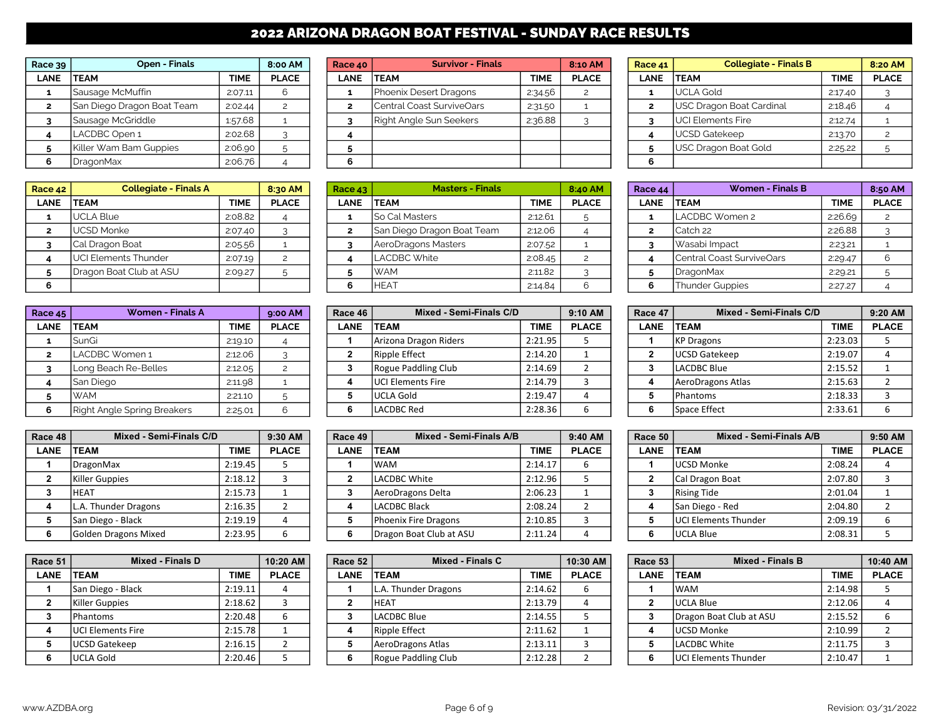# 2022 ARIZONA DRAGON BOAT FESTIVAL - SUNDAY RACE RESULTS

| Race $39$   | Open - Finals              |             | 8:00 AM      |      | <b>Survivor - Finals</b><br>Race 40 |             | 8:10 AM      |             | <b>Collegiate - Finals B</b><br>Race $41$ |             | 8:20 AM      |
|-------------|----------------------------|-------------|--------------|------|-------------------------------------|-------------|--------------|-------------|-------------------------------------------|-------------|--------------|
| <b>LANE</b> | <b>ITEAM</b>               | <b>TIME</b> | <b>PLACE</b> | LANE | <b>TEAM</b>                         | <b>TIME</b> | <b>PLACE</b> | <b>LANE</b> | <b>TEAM</b>                               | <b>TIME</b> | <b>PLACE</b> |
|             | Sausage McMuffin           | 2:07.11     |              |      | Phoenix Desert Dragons              | 2:34.56     |              |             | <b>IUCLA Gold</b>                         | 2:17.40     |              |
|             | San Diego Dragon Boat Team | 2:02.44     |              |      | Central Coast SurviveOars           | 2:31.50     |              |             | USC Dragon Boat Cardinal                  | 2:18.46     |              |
|             | Sausage McGriddle          | 1:57.68     |              |      | Right Angle Sun Seekers             | 2:36.88     |              |             | <b>JUCI Elements Fire</b>                 | 2:12.74     |              |
|             | LACDBC Open 1              | 2:02.68     |              |      |                                     |             |              |             | UCSD Gatekeep                             | 2:13.70     |              |
|             | Killer Wam Bam Guppies     | 2:06.90     |              |      |                                     |             |              |             | USC Dragon Boat Gold                      | 2:25.22     |              |
|             | DragonMax                  | 2:06.76     |              |      |                                     |             |              |             |                                           |             |              |

| Race $42$   | <b>Collegiate - Finals A</b> |             | 8:30 AM      | Race 43 | <b>Masters - Finals</b>    |             | 8:40 AM      | Race $44$ | <b>Women - Finals B</b>   |             | 8:50 AM      |
|-------------|------------------------------|-------------|--------------|---------|----------------------------|-------------|--------------|-----------|---------------------------|-------------|--------------|
| <b>LANE</b> | <b>ITEAM</b>                 | <b>TIME</b> | <b>PLACE</b> | LANE    | <b>ITEAM</b>               | <b>TIME</b> | <b>PLACE</b> | LANE      | <b>ITEAM</b>              | <b>TIME</b> | <b>PLACE</b> |
|             | <b>IUCLA Blue</b>            | 2:08.82     |              |         | <b>So Cal Masters</b>      | 2:12.61     |              |           | LACDBC Women 2            | 2:26.69     |              |
|             | <b>IUCSD Monke</b>           | 2:07.40     |              |         | San Diego Dragon Boat Team | 2:12.06     |              |           | Catch 22                  | 2:26.88     |              |
|             | <b>ICal Dragon Boat</b>      | 2:05.56     |              |         | AeroDragons Masters        | 2:07.52     |              |           | Wasabi Impact             | 2:23.21     |              |
|             | <b>JUCI Elements Thunder</b> | 2:07.19     |              |         | <b>LACDBC White</b>        | 2:08.45     |              |           | Central Coast SurviveOars | 2:29.47     |              |
|             | Dragon Boat Club at ASU      | 2:09.27     |              |         | <b>WAM</b>                 | 2:11.82     |              |           | DragonMax                 | 2:29.21     |              |
|             |                              |             |              |         | <b>HEAT</b>                | 2:14.84     |              |           | Thunder Guppies           | 2:27.27     |              |

| Race 45        | <b>Women - Finals A</b>            |             | 9:00 AM      |
|----------------|------------------------------------|-------------|--------------|
| <b>LANE</b>    | <b>TEAM</b>                        | <b>TIME</b> | <b>PLACE</b> |
| 1              | SunGi                              | 2:19.10     |              |
| $\overline{2}$ | LACDBC Women 1                     | 2:12.06     |              |
| 3              | Long Beach Re-Belles               | 2:12.05     | 2            |
| 4              | San Diego                          | 2:11.98     |              |
| 5              | <b>WAM</b>                         | 2:21.10     | 5            |
| 6              | <b>Right Angle Spring Breakers</b> | 2:25.01     | 6            |

| Race 48      | <b>Mixed - Semi-Finals C/D</b> |             | 9:30 AM      |
|--------------|--------------------------------|-------------|--------------|
| <b>LANE</b>  | <b>TEAM</b>                    | <b>TIME</b> | <b>PLACE</b> |
| 1            | <b>DragonMax</b>               | 2:19.45     | 5            |
| $\mathbf{2}$ | <b>Killer Guppies</b>          | 2:18.12     | 3            |
| 3            | <b>HEAT</b>                    | 2:15.73     |              |
| 4            | L.A. Thunder Dragons           | 2:16.35     | 2            |
| 5            | San Diego - Black              | 2:19.19     | 4            |
| 6            | <b>Golden Dragons Mixed</b>    | 2:23.95     | 6            |

| Race 51      | <b>Mixed - Finals D</b>  |             | 10:20 AM     |
|--------------|--------------------------|-------------|--------------|
| <b>LANE</b>  | <b>TEAM</b>              | <b>TIME</b> | <b>PLACE</b> |
|              | San Diego - Black        | 2:19.11     |              |
| $\mathbf{2}$ | <b>Killer Guppies</b>    | 2:18.62     | 3            |
| 3            | Phantoms                 | 2:20.48     |              |
| 4            | <b>UCI Elements Fire</b> | 2:15.78     |              |
| 5            | <b>UCSD Gatekeep</b>     | 2:16.15     | 2            |
| 6            | <b>UCLA Gold</b>         | 2:20.46     |              |

| ace 39      | <b>Open - Finals</b>       |             | 8:00 AM      | Race 40     | <b>Survivor - Finals</b>  |             | 8:10 AM      | Race 41     | <b>Collegiate - Finals B</b> |             | 8:20 AM      |  |
|-------------|----------------------------|-------------|--------------|-------------|---------------------------|-------------|--------------|-------------|------------------------------|-------------|--------------|--|
| <b>LANE</b> | <b>TEAM</b>                | <b>TIME</b> | <b>PLACE</b> | <b>LANE</b> | <b>ITEAM</b>              | <b>TIME</b> | <b>PLACE</b> | <b>LANE</b> | <b>TEAM</b>                  | <b>TIME</b> | <b>PLACE</b> |  |
|             | Sausage McMuffin           | 2:07.11     |              |             | Phoenix Desert Dragons    | 2:34.56     |              |             | <b>IUCLA Gold</b>            | 2:17.40     |              |  |
|             | San Diego Dragon Boat Team | 2:02.44     |              |             | Central Coast SurviveOars | 2:31.50     |              |             | USC Dragon Boat Cardinal     | 2:18.46     |              |  |
|             | Sausage McGriddle          | 1.57.68     |              |             | Right Angle Sun Seekers   | 2:36.88     |              |             | UCI Elements Fire            | 2:12.74     |              |  |
|             | LACDBC Open 1              | 2:02.68     |              |             |                           |             |              |             | <b>IUCSD Gatekeep</b>        | 2:13.70     |              |  |
|             | Killer Wam Bam Guppies     | 2:06.90     |              |             |                           |             |              |             | USC Dragon Boat Gold         | 2:25.22     |              |  |
|             | <b>I</b> DragonMax         | 2:06.76     |              |             |                           |             |              |             |                              |             |              |  |

| ace42       | <b>Collegiate - Finals A</b> |             | 8:30 AM      | Race 43     | <b>Masters - Finals</b>    | 8:40 AM     |              | Race 44     | <b>Women - Finals B</b>   |             | 8:50 AM      |
|-------------|------------------------------|-------------|--------------|-------------|----------------------------|-------------|--------------|-------------|---------------------------|-------------|--------------|
| <b>LANE</b> | <b>TEAM</b>                  | <b>TIME</b> | <b>PLACE</b> | <b>LANE</b> | <b>ITEAM</b>               | <b>TIME</b> | <b>PLACE</b> | <b>LANE</b> | <b>ITEAM</b>              | <b>TIME</b> | <b>PLACE</b> |
|             | <b>IUCLA Blue</b>            | 2:08.82     |              |             | <b>So Cal Masters</b>      | 2:12.61     |              |             | LACDBC Women 2            | 2:26.69     |              |
|             | UCSD Monke                   | 2:07.40     |              |             | San Diego Dragon Boat Team | 2:12.06     |              |             | lCatch 22                 | 2:26.88     |              |
|             | Cal Dragon Boat              | 2:05.56     |              |             | AeroDragons Masters        | 2:07.52     |              |             | Wasabi Impact             | 2:23.21     |              |
|             | UCI Elements Thunder         | 2:07.19     |              |             | <b>LACDBC White</b>        | 2:08.45     |              |             | Central Coast SurviveOars | 2:29.47     |              |
|             | Dragon Boat Club at ASU      | 2:09.27     |              |             | <b>WAM</b>                 | 2:11.82     |              |             | <b>IDragonMax</b>         | 2:29.21     |              |
|             |                              |             |              |             | <b>HEAT</b>                | 2:14.84     |              |             | Thunder Guppies           | 2:27.27     |              |

| e 45 | Women - Finals A            |             | Mixed - Semi-Finals C/D<br>$9:00$ AM<br>Race 46 |  |      | 9:10 AM                   | Race 47     | Mixed - Semi-Finals C/D |          |                     |             |             |
|------|-----------------------------|-------------|-------------------------------------------------|--|------|---------------------------|-------------|-------------------------|----------|---------------------|-------------|-------------|
|      | <b>ITEAM</b>                | <b>TIME</b> | <b>PLACE</b>                                    |  | LANE | <b>TEAM</b>               | <b>TIME</b> | <b>PLACE</b>            | LANE     | <b>TEAM</b>         | <b>TIME</b> | <b>PLAC</b> |
|      | l SunGi                     | 2:19.10     |                                                 |  |      | Arizona Dragon Riders     | 2:21.95     |                         |          | <b>IKP Dragons</b>  | 2:23.03     |             |
|      | ILACDBC Women 1             | 2:12.06     |                                                 |  |      | <b>Ripple Effect</b>      | 2:14.20     |                         | <b>.</b> | UCSD Gatekeep       | 2:19.07     |             |
|      | Long Beach Re-Belles        | 2:12.05     |                                                 |  |      | Rogue Paddling Club       | 2:14.69     |                         |          | LACDBC Blue         | 2:15.52     |             |
|      | San Diego                   | 2:11.98     |                                                 |  |      | <b>IUCI Elements Fire</b> | 2:14.79     |                         |          | AeroDragons Atlas   | 2:15.63     |             |
|      | <b>WAM</b>                  | 2:21.10     |                                                 |  |      | <b>UCLA Gold</b>          | 2:19.47     |                         |          | <b>IPhantoms</b>    | 2:18.33     |             |
|      | Right Angle Spring Breakers | 2:25.01     |                                                 |  |      | <b>LACDBC Red</b>         | 2:28.36     |                         |          | <b>Space Effect</b> | 2:33.61     |             |

| Race 48丨    | Mixed - Semi-Finals C/D |             | 9:30 AM      | Race 49 | Mixed - Semi-Finals A/B |             | 9:40 AM      |             | Mixed - Semi-Finals A/B<br>Race 50 |             | 9:50 AM      |
|-------------|-------------------------|-------------|--------------|---------|-------------------------|-------------|--------------|-------------|------------------------------------|-------------|--------------|
| <b>LANE</b> | <b>ITEAM</b>            | <b>TIME</b> | <b>PLACE</b> | LANE    | <b>TEAM</b>             | <b>TIME</b> | <b>PLACE</b> | <b>LANE</b> | <b>ITEAM</b>                       | <b>TIME</b> | <b>PLACE</b> |
|             | DragonMax               | 2:19.45     |              |         | <b>WAM</b>              | 2:14.17     |              |             | <b>IUCSD Monke</b>                 | 2:08.24     |              |
|             | Killer Guppies          | 2:18.12     |              |         | <b>LACDBC White</b>     | 2:12.96     |              |             | Cal Dragon Boat                    | 2:07.80     |              |
|             | lheat                   | 2:15.73     |              |         | AeroDragons Delta       | 2:06.23     |              |             | Rising Tide                        | 2:01.04     |              |
|             | L.A. Thunder Dragons    | 2:16.35     |              |         | LACDBC Black            | 2:08.24     |              |             | San Diego - Red                    | 2:04.80     |              |
|             | San Diego - Black       | 2:19.19     |              |         | Phoenix Fire Dragons    | 2:10.85     |              |             | <b>IUCI Elements Thunder</b>       | 2:09.19     |              |
|             | Golden Dragons Mixed    | 2:23.95     |              |         | Dragon Boat Club at ASU | 2:11.24     |              |             | <b>UCLA Blue</b>                   | 2:08.31     |              |

| ace 51      | Mixed - Finals D          |             | 10:20 AM     | Race 52 | Mixed - Finals C     |             | 10:30 AM     | Race 53     | Mixed - Finals B             |             | 10:40 AM     |
|-------------|---------------------------|-------------|--------------|---------|----------------------|-------------|--------------|-------------|------------------------------|-------------|--------------|
| <b>LANE</b> | <b>ITEAM</b>              | <b>TIME</b> | <b>PLACE</b> | LANE    | <b>ITEAM</b>         | <b>TIME</b> | <b>PLACE</b> | <b>LANE</b> | <b>ITEAM</b>                 | <b>TIME</b> | <b>PLACE</b> |
|             | San Diego - Black         | 2:19.11     |              |         | L.A. Thunder Dragons | 2:14.62     |              |             | lwam                         | 2:14.98     |              |
|             | Killer Guppies            | 2:18.62     |              |         | <b>HEAT</b>          | 2:13.79     |              |             | <b>UCLA Blue</b>             | 2:12.06     |              |
|             | <b>IPhantoms</b>          | 2:20.48     |              |         | LACDBC Blue          | 2:14.55     |              |             | Dragon Boat Club at ASU      | 2:15.52     |              |
|             | <b>IUCI Elements Fire</b> | 2:15.78     |              |         | Ripple Effect        | 2:11.62     |              |             | <b>UCSD Monke</b>            | 2:10.99     |              |
|             | UCSD Gatekeep             | 2:16.15     |              |         | AeroDragons Atlas    | 2:13.11     |              |             | LACDBC White                 | 2:11.75     |              |
|             | <b>UCLA Gold</b>          | 2:20.46     |              |         | Rogue Paddling Club  | 2:12.28     |              |             | <b>IUCI Elements Thunder</b> | 2:10.47     |              |

| Race 41        | <b>Collegiate - Finals B</b> |             | 8:20 AM       |
|----------------|------------------------------|-------------|---------------|
| <b>LANE</b>    | <b>TEAM</b>                  | <b>TIME</b> | <b>PLACE</b>  |
| 1              | <b>UCLA Gold</b>             | 2:17.40     |               |
| $\overline{2}$ | USC Dragon Boat Cardinal     | 2:18.46     |               |
| 3              | <b>UCI Elements Fire</b>     | 2:12.74     |               |
| 4              | <b>UCSD Gatekeep</b>         | 2:13.70     | $\mathcal{P}$ |
| 5              | <b>USC Dragon Boat Gold</b>  | 2:25.22     | 5             |
| 6              |                              |             |               |

| Race 44        | <b>Women - Finals B</b>   |             | 8:50 AM      |
|----------------|---------------------------|-------------|--------------|
| <b>LANE</b>    | <b>TEAM</b>               | <b>TIME</b> | <b>PLACE</b> |
| 1              | LACDBC Women 2            | 2:26.69     | 2            |
| $\overline{2}$ | Catch 22                  | 2:26.88     | 3            |
| 3              | Wasabi Impact             | 2:23.21     |              |
| 4              | Central Coast SurviveOars | 2:29.47     |              |
| 5              | <b>DragonMax</b>          | 2:29.21     | 5            |
| 6              | <b>Thunder Guppies</b>    | 2:27.27     |              |

| Race 45 | Women - Finals A            |             | 9:00 AM      |      | Mixed - Semi-Finals C/D<br>Race 46 |             | 9:10 AM      | Race 47 | Mixed - Semi-Finals C/D |             | 9:20 AM      |
|---------|-----------------------------|-------------|--------------|------|------------------------------------|-------------|--------------|---------|-------------------------|-------------|--------------|
| LANE    | <b>ITEAM</b>                | <b>TIME</b> | <b>PLACE</b> | LANE | <b>ITEAM</b>                       | <b>TIME</b> | <b>PLACE</b> | LANE    | <b>TEAM</b>             | <b>TIME</b> | <b>PLACE</b> |
|         | SunGi                       | 2:19.10     |              |      | Arizona Dragon Riders              | 2:21.95     |              |         | IKP Dragons             | 2:23.03     |              |
|         | LACDBC Women 1              | 2:12.06     |              |      | Ripple Effect                      | 2:14.20     |              |         | UCSD Gatekeep           | 2:19.07     |              |
|         | Long Beach Re-Belles        | 2:12.05     |              |      | Rogue Paddling Club                | 2:14.69     |              |         | LACDBC Blue             | 2:15.52     |              |
|         | San Diego                   | 2:11.98     |              |      | <b>IUCI Elements Fire</b>          | 2:14.79     |              |         | AeroDragons Atlas       | 2:15.63     |              |
|         | <b>WAM</b>                  | 2:21.10     |              |      | <b>UCLA Gold</b>                   | 2:19.47     |              |         | Phantoms                | 2:18.33     |              |
| 6.      | Right Angle Spring Breakers | 2:25.01     |              |      | LACDBC Red                         | 2:28.36     |              |         | lSpace Effect           | 2:33.61     |              |

| Race 50     | Mixed - Semi-Finals A/B     |             | 9:50 AM      |
|-------------|-----------------------------|-------------|--------------|
| <b>LANE</b> | <b>TEAM</b>                 | <b>TIME</b> | <b>PLACE</b> |
|             | <b>UCSD Monke</b>           | 2:08.24     |              |
| 2           | Cal Dragon Boat             | 2:07.80     | 3            |
| 3           | <b>Rising Tide</b>          | 2:01.04     |              |
| 4           | San Diego - Red             | 2:04.80     | 2            |
| 5           | <b>UCI Elements Thunder</b> | 2:09.19     | 6            |
| 6           | <b>UCLA Blue</b>            | 2:08.31     |              |

| Race 51   | Mixed - Finals D          |             | 10:20 AM     | Race $52$ | Mixed - Finals C     |             | 10:30 AM     | Race 53 | <b>Mixed - Finals B</b>      |             | 10:40 AM     |
|-----------|---------------------------|-------------|--------------|-----------|----------------------|-------------|--------------|---------|------------------------------|-------------|--------------|
| LANE TEAM |                           | <b>TIME</b> | <b>PLACE</b> | LANE      | <b>TEAM</b>          | <b>TIME</b> | <b>PLACE</b> | LANE    | <b>TEAM</b>                  | <b>TIME</b> | <b>PLACE</b> |
|           | San Diego - Black         | 2:19.11     |              |           | L.A. Thunder Dragons | 2:14.62     |              |         | lwam                         | 2:14.98     |              |
|           | Killer Guppies            | 2:18.62     |              |           | <b>IHEAT</b>         | 2:13.79     |              |         | <b>UCLA Blue</b>             | 2:12.06     |              |
|           | <b>IPhantoms</b>          | 2:20.48     |              |           | LACDBC Blue          | 2:14.55     |              |         | Dragon Boat Club at ASU      | 2:15.52     |              |
|           | <b>IUCI Elements Fire</b> | 2:15.78     |              |           | Ripple Effect        | 2:11.62     |              |         | <b>IUCSD Monke</b>           | 2:10.99     |              |
|           | UCSD Gatekeep             | 2:16.15     |              |           | AeroDragons Atlas    | 2:13.11     |              |         | LACDBC White                 | 2:11.75     |              |
| 6.        | <b>IUCLA Gold</b>         | 2:20.46     |              |           | Rogue Paddling Club  | 2:12.28     |              |         | <b>IUCI Elements Thunder</b> | 2:10.47     |              |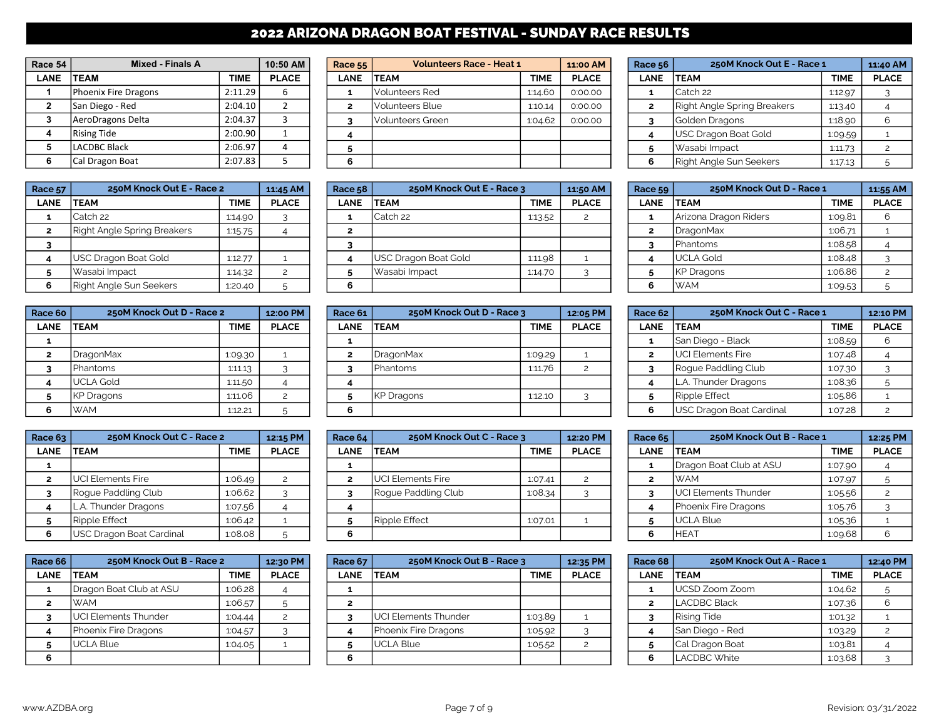# 2022 ARIZONA DRAGON BOAT FESTIVAL - SUNDAY RACE RESULTS

| Race 54      | <b>Mixed - Finals A</b> |         | 10:50 AM     |
|--------------|-------------------------|---------|--------------|
| <b>LANE</b>  | <b>TEAM</b>             | TIME    | <b>PLACE</b> |
| 1            | Phoenix Fire Dragons    | 2:11.29 | 6            |
| $\mathbf{2}$ | San Diego - Red         | 2:04.10 |              |
| 3            | AeroDragons Delta       | 2:04.37 | з            |
| 4            | <b>Rising Tide</b>      | 2:00.90 |              |
| 5            | <b>LACDBC Black</b>     | 2:06.97 | 4            |
| 6            | Cal Dragon Boat         | 2:07.83 |              |

| Race 57     | 250M Knock Out E - Race 2   |             | 11:45 AM     | <b>Race 58</b> | 250M Knock Out E - Race 3 |             | 11:50 AM     | Race $59$ | 250M Knock Out D - Race 1 |             | 11:55 AM     |
|-------------|-----------------------------|-------------|--------------|----------------|---------------------------|-------------|--------------|-----------|---------------------------|-------------|--------------|
| <b>LANE</b> | <b>TEAM</b>                 | <b>TIME</b> | <b>PLACE</b> | <b>LANE</b>    | <b>TEAM</b>               | <b>TIME</b> | <b>PLACE</b> | LANE      | <b>TEAM</b>               | <b>TIME</b> | <b>PLACE</b> |
|             | Catch 22                    | 1:14.90     |              |                | Catch 22                  | 1:13.52     |              |           | Arizona Dragon Riders     | 1:09.81     |              |
|             | Right Angle Spring Breakers | 1:15.75     |              |                |                           |             |              |           | DragonMax                 | 1:06.71     |              |
|             |                             |             |              |                |                           |             |              |           | <b>I</b> Phantoms         | 1:08.58     |              |
|             | USC Dragon Boat Gold        | 1:12.77     |              |                | USC Dragon Boat Gold      | 1:11.98     |              |           | <b>IUCLA Gold</b>         | 1:08.48     |              |
|             | Wasabi Impact               | 1:14.32     |              |                | Wasabi Impact             | 1:14.70     |              |           | KP Dragons                | 1:06.86     |              |
|             | Right Angle Sun Seekers     | 1:20.40     |              | b              |                           |             |              |           | <b>IWAM</b>               | 1:09.53     |              |

| Race 60      | 250M Knock Out D - Race 2 |             | 12:00 PM     |
|--------------|---------------------------|-------------|--------------|
| <b>LANE</b>  | <b>TEAM</b>               | <b>TIME</b> | <b>PLACE</b> |
| 1            |                           |             |              |
| $\mathbf{z}$ | <b>DragonMax</b>          | 1:09.30     |              |
| 3            | Phantoms                  | 1:11.13     |              |
| 4            | <b>UCLA Gold</b>          | 1:11.50     |              |
| 5            | <b>KP Dragons</b>         | 1:11.06     |              |
| 6            | <b>WAM</b>                | 1:12.21     | 5            |

| Race 63        | 250M Knock Out C - Race 2 |             | 12:15 PM     |
|----------------|---------------------------|-------------|--------------|
| <b>LANE</b>    | <b>TEAM</b>               | <b>TIME</b> | <b>PLACE</b> |
| 1              |                           |             |              |
| $\overline{2}$ | <b>UCI Elements Fire</b>  | 1:06.49     | 2            |
| 3              | Rogue Paddling Club       | 1:06.62     | っ            |
| 4              | L.A. Thunder Dragons      | 1:07.56     |              |
| 5              | Ripple Effect             | 1:06.42     |              |
| 6              | USC Dragon Boat Cardinal  | 1:08.08     |              |

| Race 66        | 250M Knock Out B - Race 2   |             | 12:30 PM     |
|----------------|-----------------------------|-------------|--------------|
| <b>LANE</b>    | <b>TEAM</b>                 | <b>TIME</b> | <b>PLACE</b> |
| 1              | Dragon Boat Club at ASU     | 1:06.28     |              |
| $\overline{2}$ | <b>WAM</b>                  | 1:06.57     | 5            |
| 3              | <b>UCI Elements Thunder</b> | 1:04.44     | 2            |
|                | Phoenix Fire Dragons        | 1:04.57     |              |
| 5              | <b>UCLA Blue</b>            | 1:04.05     |              |
| 6              |                             |             |              |

| Race 54 | Mixed - Finals A     |             | 10:50 AM     | <b>Race 55</b> | <b>Volunteers Race - Heat 1</b> |             | 11:00 AM     | Race 56     | 250M Knock Out E - Race 1   |             | 11:40 AM     |
|---------|----------------------|-------------|--------------|----------------|---------------------------------|-------------|--------------|-------------|-----------------------------|-------------|--------------|
| LANE    | <b>TEAM</b>          | <b>TIME</b> | <b>PLACE</b> | LANE           | <b>ITEAM</b>                    | <b>TIME</b> | <b>PLACE</b> | <b>LANE</b> | <b>TEAM</b>                 | <b>TIME</b> | <b>PLACE</b> |
|         | Phoenix Fire Dragons | 2:11.29     |              |                | Volunteers Red                  | 1:14.60     | 0:00.00      |             | Catch 22                    | 1:12.97     |              |
|         | San Diego - Red      | 2:04.10     |              |                | Volunteers Blue                 | 1:10.14     | 0:00.00      |             | Right Angle Spring Breakers | 1:13.40     |              |
|         | AeroDragons Delta    | 2:04.37     |              |                | Volunteers Green                | 1:04.62     | 0:00.00      |             | Golden Dragons              | 1:18.90     |              |
|         | Rising Tide          | 2:00.90     |              |                |                                 |             |              |             | USC Dragon Boat Gold        | 1:09.59     |              |
|         | LACDBC Black         | 2:06.97     |              |                |                                 |             |              |             | Wasabi Impact               | 1:11.73     |              |
|         | Cal Dragon Boat      | 2:07.83     |              |                |                                 |             |              |             | Right Angle Sun Seekers     | 1:17.13     |              |

| ace 57 | 250M Knock Out E - Race 2   |             | 11:45 AM     | 250M Knock Out E - Race 3<br><b>Race 58</b> |                              | 11:50 AM    | Race 59      | 250M Knock Out D - Race 1 |                       | 11:55 AM    |              |
|--------|-----------------------------|-------------|--------------|---------------------------------------------|------------------------------|-------------|--------------|---------------------------|-----------------------|-------------|--------------|
| LANE   | <b>TEAM</b>                 | <b>TIME</b> | <b>PLACE</b> | <b>LANE</b>                                 | <b>ITEAM</b>                 | <b>TIME</b> | <b>PLACE</b> | <b>LANE</b>               | <b>ITEAM</b>          | <b>TIME</b> | <b>PLACE</b> |
|        | Catch 22                    | 1:14.90     |              |                                             | Catch 22                     | 1:13.52     |              |                           | Arizona Dragon Riders | 1:09.81     |              |
|        | Right Angle Spring Breakers | 1:15.75     |              |                                             |                              |             |              |                           | DragonMax             | 1:06.71     |              |
|        |                             |             |              |                                             |                              |             |              |                           | <b>IPhantoms</b>      | 1:08.58     |              |
|        | USC Dragon Boat Gold        | 1:12.77     |              |                                             | <b>IUSC Dragon Boat Gold</b> | 1:11.98     |              |                           | <b>IUCLA Gold</b>     | 1:08.48     |              |
|        | Wasabi Impact               | 1:14.32     |              |                                             | Wasabi Impact                | 1:14.70     |              |                           | KP Dragons            | 1:06.86     |              |
|        | Right Angle Sun Seekers     | 1:20.40     |              |                                             |                              |             |              |                           | <b>IWAM</b>           | 1:09.53     |              |

| ace 60      | 250M Knock Out D - Race 2 |             | 12:00 PM     | Race 61     | 250M Knock Out D - Race 3 |             | 12:05 PM     | Race 62 $ $ | 250M Knock Out C - Race 1 |             | 12:10 PM     |
|-------------|---------------------------|-------------|--------------|-------------|---------------------------|-------------|--------------|-------------|---------------------------|-------------|--------------|
| <b>LANE</b> | <b>TEAM</b>               | <b>TIME</b> | <b>PLACE</b> | <b>LANE</b> | <b>ITEAM</b>              | <b>TIME</b> | <b>PLACE</b> | <b>LANE</b> | <b>ITEAM</b>              | <b>TIME</b> | <b>PLACE</b> |
|             |                           |             |              |             |                           |             |              |             | San Diego - Black         | 1:08.59     |              |
|             | DragonMax                 | 1:09.30     |              |             | <b>IDragonMax</b>         | 1:09.29     |              |             | <b>IUCI Elements Fire</b> | 1:07.48     |              |
|             | Phantoms                  | 1:11.13     |              |             | <b>Phantoms</b>           | 1:11.76     |              |             | Roque Paddling Club       | 1:07.30     |              |
|             | <b>IUCLA Gold</b>         | 1:11.50     |              |             |                           |             |              |             | L.A. Thunder Dragons      | 1:08.36     |              |
|             | KP Dragons                | 1:11.06     |              |             | <b>KP Dragons</b>         | 1:12.10     |              |             | Ripple Effect             | 1:05.86     |              |
|             | <b>WAM</b>                | 1:12.21     |              |             |                           |             |              |             | USC Dragon Boat Cardinal  | 1:07.28     |              |

| ace $63$    | 250M Knock Out C - Race 2           |             | 12:15 PM     | Race 64 | 250M Knock Out C - Race 3 |             | 12:20 PM     | Race 65     | 250M Knock Out B - Race 1    |             | 12:25 PM     |
|-------------|-------------------------------------|-------------|--------------|---------|---------------------------|-------------|--------------|-------------|------------------------------|-------------|--------------|
| <b>LANE</b> | <b>TEAM</b>                         | <b>TIME</b> | <b>PLACE</b> | LANE    | <b>ITEAM</b>              | <b>TIME</b> | <b>PLACE</b> | <b>LANE</b> | <b>ITEAM</b>                 | <b>TIME</b> | <b>PLACE</b> |
|             |                                     |             |              |         |                           |             |              |             | Dragon Boat Club at ASU      | 1:07.90     |              |
|             | <b>I</b> UCI Elements Fire          | 1.06.49     |              |         | <b>UCI Elements Fire</b>  | 1:07.41     |              |             | <b>IWAM</b>                  | 1:07.97     |              |
|             | Roque Paddling Club                 | 1:06.62     |              |         | Roque Paddling Club       | 1:08.34     |              |             | <b>IUCI Elements Thunder</b> | 1:05.56     |              |
|             | . Thunder Dragons<br>$\overline{A}$ | 1:07.56     |              |         |                           |             |              |             | <b>IPhoenix Fire Dragons</b> | 1:05.76     |              |
|             | Ripple Effect                       | 1:06.42     |              |         | Ripple Effect             | 1:07.01     |              |             | <b>IUCLA Blue</b>            | 1:05.36     |              |
|             | USC Dragon Boat Cardinal            | 1:08.08     |              |         |                           |             |              |             | <b>IHEAT</b>                 | 1:09.68     |              |

| Race 66 l | 250M Knock Out B - Race 2 |             | 12:30 PM     | Race 67     | 250M Knock Out B - Race 3    |             | 12:35 PM     | Race 68 | 250M Knock Out A - Race 1 |             | 12:40 PM     |
|-----------|---------------------------|-------------|--------------|-------------|------------------------------|-------------|--------------|---------|---------------------------|-------------|--------------|
| LANE      | <b>ITEAM</b>              | <b>TIME</b> | <b>PLACE</b> | <b>LANE</b> | <b>ITEAM</b>                 | <b>TIME</b> | <b>PLACE</b> | LANE    | <b>TEAM</b>               | <b>TIME</b> | <b>PLACE</b> |
|           | Dragon Boat Club at ASU   | 1:06.28     |              |             |                              |             |              |         | <b>IUCSD Zoom Zoom</b>    | 1:04.62     |              |
|           | <b>WAM</b>                | 1:06.57     |              |             |                              |             |              |         | <b>ILACDBC Black</b>      | 1:07.36     |              |
|           | UCI Elements Thunder      | 1:04.44     |              |             | <b>IUCI Elements Thunder</b> | 1:03.89     |              |         | Rising Tide               | 1:01.32     |              |
|           | Phoenix Fire Dragons      | 1:04.57     |              |             | Phoenix Fire Dragons         | 1:05.92     |              |         | San Diego - Red           | 1:03.29     |              |
|           | <b>UCLA Blue</b>          | 1:04.05     |              |             | UCLA Blue                    | 1:05.52     |              |         | Cal Dragon Boat           | 1:03.81     |              |
|           |                           |             |              |             |                              |             |              |         | <b>ILACDBC White</b>      | 1:03.68     |              |

| Race <sub>56</sub> | 250M Knock Out E - Race 1      |             | 11:40 AM      |
|--------------------|--------------------------------|-------------|---------------|
| <b>LANE</b>        | <b>TEAM</b>                    | <b>TIME</b> | <b>PLACE</b>  |
| 1                  | Catch 22                       | 1:12.97     |               |
| $\mathbf{z}$       | Right Angle Spring Breakers    | 1:13.40     |               |
| 3                  | Golden Dragons                 | 1:18.90     |               |
| 4                  | <b>USC Dragon Boat Gold</b>    | 1:09.59     |               |
| 5                  | Wasabi Impact                  | 1:11.73     | $\mathcal{P}$ |
| 6                  | <b>Right Angle Sun Seekers</b> | 1:17.13     | 5             |

| Race 59        | 250M Knock Out D - Race 1 |             | 11:55 AM       |
|----------------|---------------------------|-------------|----------------|
| <b>LANE</b>    | <b>TEAM</b>               | <b>TIME</b> | <b>PLACE</b>   |
| 1              | Arizona Dragon Riders     | 1:09.81     | 6              |
| $\overline{2}$ | <b>DragonMax</b>          | 1:06.71     |                |
| 3              | Phantoms                  | 1:08.58     |                |
| 4              | <b>UCLA Gold</b>          | 1:08.48     | 3              |
| 5              | <b>KP Dragons</b>         | 1:06.86     | $\overline{c}$ |
| 6              | <b>WAM</b>                | 1:09.53     | 5              |

| Race 60 l | 250M Knock Out D - Race 2 |             | 12:00 PM     | Race 61     | 250M Knock Out D - Race 3 |             | 12:05 PM     | Race 62 | 250M Knock Out C - Race 1  |             | 12:10 PM     |
|-----------|---------------------------|-------------|--------------|-------------|---------------------------|-------------|--------------|---------|----------------------------|-------------|--------------|
| LANE      | <b>TEAM</b>               | <b>TIME</b> | <b>PLACE</b> | <b>LANE</b> | <b>ITEAM</b>              | <b>TIME</b> | <b>PLACE</b> | LANE    | <b>TEAM</b>                | <b>TIME</b> | <b>PLACE</b> |
|           |                           |             |              |             |                           |             |              |         | <b>S</b> an Diego - Black  | 1:08.59     |              |
|           | <b>DragonMax</b>          | 1:09.30     |              |             | DragonMax                 | 1:09.29     |              | ∠       | <b>I</b> UCI Elements Fire | 1:07.48     |              |
|           | l Phantoms                | 1:11.13     |              |             | <b>Phantoms</b>           | 1:11.76     |              |         | Rogue Paddling Club        | 1:07.30     |              |
|           | UCLA Gold                 | 1:11.50     |              |             |                           |             |              |         | L.A. Thunder Dragons       | 1:08.36     |              |
|           | KP Dragons                | 1:11.06     |              |             | <b>KP</b> Dragons         | 1:12.10     |              |         | Ripple Effect              | 1:05.86     |              |
|           | <b>WAM</b>                | 1:12.21     |              |             |                           |             |              | 6       | USC Dragon Boat Cardinal   | 1:07.28     |              |

| Race $63$   | 250M Knock Out C - Race 2  |             | 12:15 PM     | Race 64     | 250M Knock Out C - Race 3  |             | 12:20 PM     | Race 65 | 250M Knock Out B - Race 1    |             | 12:25 PM     |
|-------------|----------------------------|-------------|--------------|-------------|----------------------------|-------------|--------------|---------|------------------------------|-------------|--------------|
| <b>LANE</b> | <b>TEAM</b>                | <b>TIME</b> | <b>PLACE</b> | <b>LANE</b> | <b>ITEAM</b>               | <b>TIME</b> | <b>PLACE</b> | LANE    | <b>TEAM</b>                  | <b>TIME</b> | <b>PLACE</b> |
|             |                            |             |              |             |                            |             |              |         | Dragon Boat Club at ASU      | 1:07.90     |              |
|             | <b>I</b> UCI Elements Fire | 1.06.49     |              |             | <b>I</b> UCI Elements Fire | 1:07.41     |              |         | IWAM.                        | 1:07.97     |              |
|             | Roque Paddling Club        | 1:06.62     |              |             | Roque Paddling Club        | 1:08.34     |              |         | <b>IUCI Elements Thunder</b> | 1:05.56     |              |
|             | L.A. Thunder Dragons       | 1:07.56     |              |             |                            |             |              |         | Phoenix Fire Dragons         | 1:05.76     |              |
|             | Ripple Effect              | 1:06.42     |              |             | Ripple Effect              | 1:07.01     |              |         | <b>I</b> UCLA Blue           | 1:05.36     |              |
| 6           | USC Dragon Boat Cardinal   | 1:08.08     |              |             |                            |             |              |         | <b>HEAT</b>                  | 1:09.68     |              |

| Race 68        | 250M Knock Out A - Race 1 |             | 12:40 PM      |
|----------------|---------------------------|-------------|---------------|
| <b>LANE</b>    | <b>TEAM</b>               | <b>TIME</b> | <b>PLACE</b>  |
| 1              | UCSD Zoom Zoom            | 1:04.62     | 5             |
| $\overline{2}$ | <b>LACDBC Black</b>       | 1:07.36     |               |
| 3              | <b>Rising Tide</b>        | 1:01.32     |               |
|                | San Diego - Red           | 1:03.29     | $\mathcal{P}$ |
| 5              | Cal Dragon Boat           | 1:03.81     |               |
| 6              | <b>LACDBC White</b>       | 1:03.68     | っ             |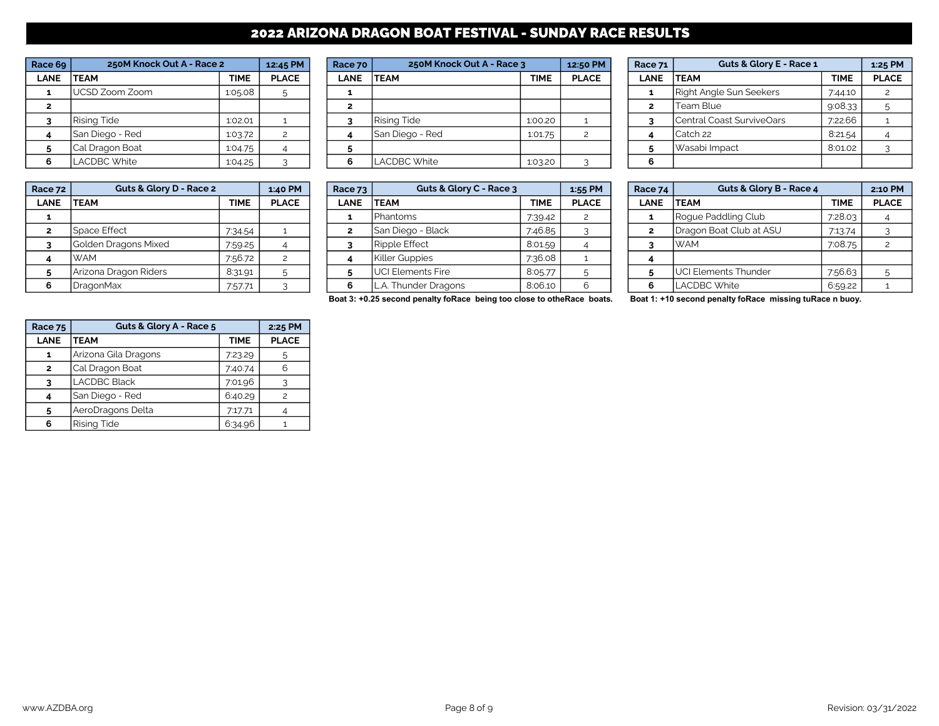# 2022 ARIZONA DRAGON BOAT FESTIVAL - SUNDAY RACE RESULTS

| Race 69        | 250M Knock Out A - Race 2 |             | 12:45 PM      |
|----------------|---------------------------|-------------|---------------|
| <b>LANE</b>    | <b>TEAM</b>               | <b>TIME</b> | <b>PLACE</b>  |
| 1              | UCSD Zoom Zoom            | 1:05.08     | 5             |
| $\overline{2}$ |                           |             |               |
| 3              | <b>Rising Tide</b>        | 1:02.01     |               |
| 4              | San Diego - Red           | 1:03.72     | $\mathcal{P}$ |
| 5              | Cal Dragon Boat           | 1:04.75     |               |
| 6              | <b>LACDBC White</b>       | 1:04.25     |               |

| Race 72 | Guts & Glory D - Race 2 |             | 1:40 PM      | Race $73$   | Guts & Glory C - Race 3 |         | 1:55 PM      | Race 74 | Guts & Glory B - Race 4       |             | 2:10 PM      |
|---------|-------------------------|-------------|--------------|-------------|-------------------------|---------|--------------|---------|-------------------------------|-------------|--------------|
| LANE    | <b>ITEAM</b>            | <b>TIME</b> | <b>PLACE</b> | <b>LANE</b> | <b>ITEAM</b>            | TIME    | <b>PLACE</b> | LANE    | <b>TEAM</b>                   | <b>TIME</b> | <b>PLACE</b> |
|         |                         |             |              |             | Phantoms                | 7:39.42 |              |         | Roque Paddling Club           | 7:28.03     |              |
|         | Space Effect            | 7:34.54     |              |             | San Diego - Black       | 7:46.85 |              |         | Dragon Boat Club at ASU       | 7:13.74     |              |
|         | Golden Dragons Mixed    | 7:59.25     |              |             | Ripple Effect           | 8:01.59 |              |         | IWAM                          | 7:08.75     |              |
|         | <b>IWAM</b>             | 7:56.72     |              |             | Killer Guppies          | 7:36.08 |              |         |                               |             |              |
|         | Arizona Dragon Riders   | 8:31.91     |              |             | UCI Elements Fire       | 8:05.77 |              |         | <b>I</b> UCI Elements Thunder | 7:56.63     |              |
|         | DragonMax               | 7:57.71     |              |             | L.A. Thunder Dragons    | 8:06.10 |              | 6       | LACDBC White                  | 6:59.22     |              |

| Race 69     | 250M Knock Out A - Race 2 |         | 12:45 PM     | Race 70     | 250M Knock Out A - Race 3 |             | 12:50 PM     | Race 71     | Guts & Glory E - Race 1   |             | 1:25 PM      |
|-------------|---------------------------|---------|--------------|-------------|---------------------------|-------------|--------------|-------------|---------------------------|-------------|--------------|
| <b>LANE</b> | <b>ITEAM</b>              | TIME    | <b>PLACE</b> | <b>LANE</b> | <b>ITEAM</b>              | <b>TIME</b> | <b>PLACE</b> | <b>LANE</b> | <b>ITEAM</b>              | <b>TIME</b> | <b>PLACE</b> |
|             | UCSD Zoom Zoom            | 1.05.08 |              |             |                           |             |              |             | Right Angle Sun Seekers   | 7:44.10     |              |
|             |                           |         |              |             |                           |             |              |             | lTeam Blue                | 9:08.33     |              |
|             | Rising Tide               | 1:02.01 |              |             | <b>Rising Tide</b>        | 1:00.20     |              |             | Central Coast SurviveOars | 7:22.66     |              |
|             | <b>San Diego - Red</b>    | 1:03.72 |              |             | San Diego - Red           | 1:01.75     |              |             | Catch 22                  | 8:21.54     |              |
|             | Cal Dragon Boat           | 1:04.75 |              |             |                           |             |              |             | Wasabi Impact             | 8:01.02     |              |
| 6.          | LACDBC White              | 1:04.25 |              |             | LACDBC White              | 1:03.20     |              |             |                           |             |              |

| ace 72      | Guts & Glory D - Race 2 |             | 1:40 PM      | Race 73     | Guts & Glory C - Race 3  |             | $1:55$ PM    | Race 74     | Guts & Glory B - Race 4      |             | 2:10 PM      |
|-------------|-------------------------|-------------|--------------|-------------|--------------------------|-------------|--------------|-------------|------------------------------|-------------|--------------|
| <b>LANE</b> | <b>TEAM</b>             | <b>TIME</b> | <b>PLACE</b> | <b>LANE</b> | <b>ITEAM</b>             | <b>TIME</b> | <b>PLACE</b> | <b>LANE</b> | <b>ITEAM</b>                 | <b>TIME</b> | <b>PLACE</b> |
|             |                         |             |              |             | <b>Phantoms</b>          | 7:39.42     |              |             | Rogue Paddling Club          | 7:28.03     |              |
|             | l Space Effect          | 7:34.54     |              |             | San Diego - Black        | 7:46.85     |              |             | Dragon Boat Club at ASU      | 7:13.74     |              |
|             | Golden Dragons Mixed    | 7:59.25     |              |             | <b>Ripple Effect</b>     | 8:01.59     |              |             | <b>IWAM</b>                  | 7:08.75     |              |
|             | <b>WAM</b>              | 7:56.72     |              |             | <b>Killer Guppies</b>    | 7:36.08     |              |             |                              |             |              |
|             | Arizona Dragon Riders   | 8:31.91     |              |             | <b>UCI Elements Fire</b> | 8:05.77     |              |             | <b>JUCI Elements Thunder</b> | 7:56.63     |              |
|             | <b>IDragonMax</b>       | 7:57.71     |              |             | . Thunder Dragons        | 8:06.10     |              |             | <b>LACDBC White</b>          | 6:59.22     |              |

| Race 71        | <b>Guts &amp; Glory E - Race 1</b> |             | 1:25 PM       |
|----------------|------------------------------------|-------------|---------------|
| <b>LANE</b>    | <b>TEAM</b>                        | <b>TIME</b> | <b>PLACE</b>  |
| 1              | <b>Right Angle Sun Seekers</b>     | 7:44.10     | $\mathcal{P}$ |
| $\overline{2}$ | Team Blue                          | 9:08.33     | 5             |
| 3              | Central Coast SurviveOars          | 7:22.66     |               |
|                | Catch 22                           | 8:21.54     |               |
| 5              | Wasabi Impact                      | 8:01.02     |               |
| 6              |                                    |             |               |

| Race 74      | Guts & Glory B - Race 4     |             | 2:10 PM        |
|--------------|-----------------------------|-------------|----------------|
| <b>LANE</b>  | <b>TEAM</b>                 | <b>TIME</b> | <b>PLACE</b>   |
| 1            | Roque Paddling Club         | 7:28.03     |                |
| $\mathbf{z}$ | Dragon Boat Club at ASU     | 7:13.74     | 3              |
| 3            | <b>WAM</b>                  | 7:08.75     | $\mathfrak{p}$ |
| 4            |                             |             |                |
| 5            | <b>UCI Elements Thunder</b> | 7:56.63     | 5              |
| 6            | <b>LACDBC White</b>         | 6:59.22     |                |

Boat 3: +0.25 second penalty foRace being too close to otheRace boats. Boat 1: +10 second penalty foRace missing tuRace n buoy.

| <b>Race 75</b> | Guts & Glory A - Race 5 |             | 2:25 PM      |
|----------------|-------------------------|-------------|--------------|
| <b>LANE</b>    | <b>TEAM</b>             | <b>TIME</b> | <b>PLACE</b> |
| 1              | Arizona Gila Dragons    | 7:23.29     | 5            |
| $\mathbf{z}$   | Cal Dragon Boat         | 7:40.74     |              |
| 3              | <b>LACDBC Black</b>     | 7:01.96     |              |
|                | San Diego - Red         | 6:40.29     | 2            |
| 5              | AeroDragons Delta       | 7:17.71     |              |
| 6              | <b>Rising Tide</b>      | 6:34.96     |              |